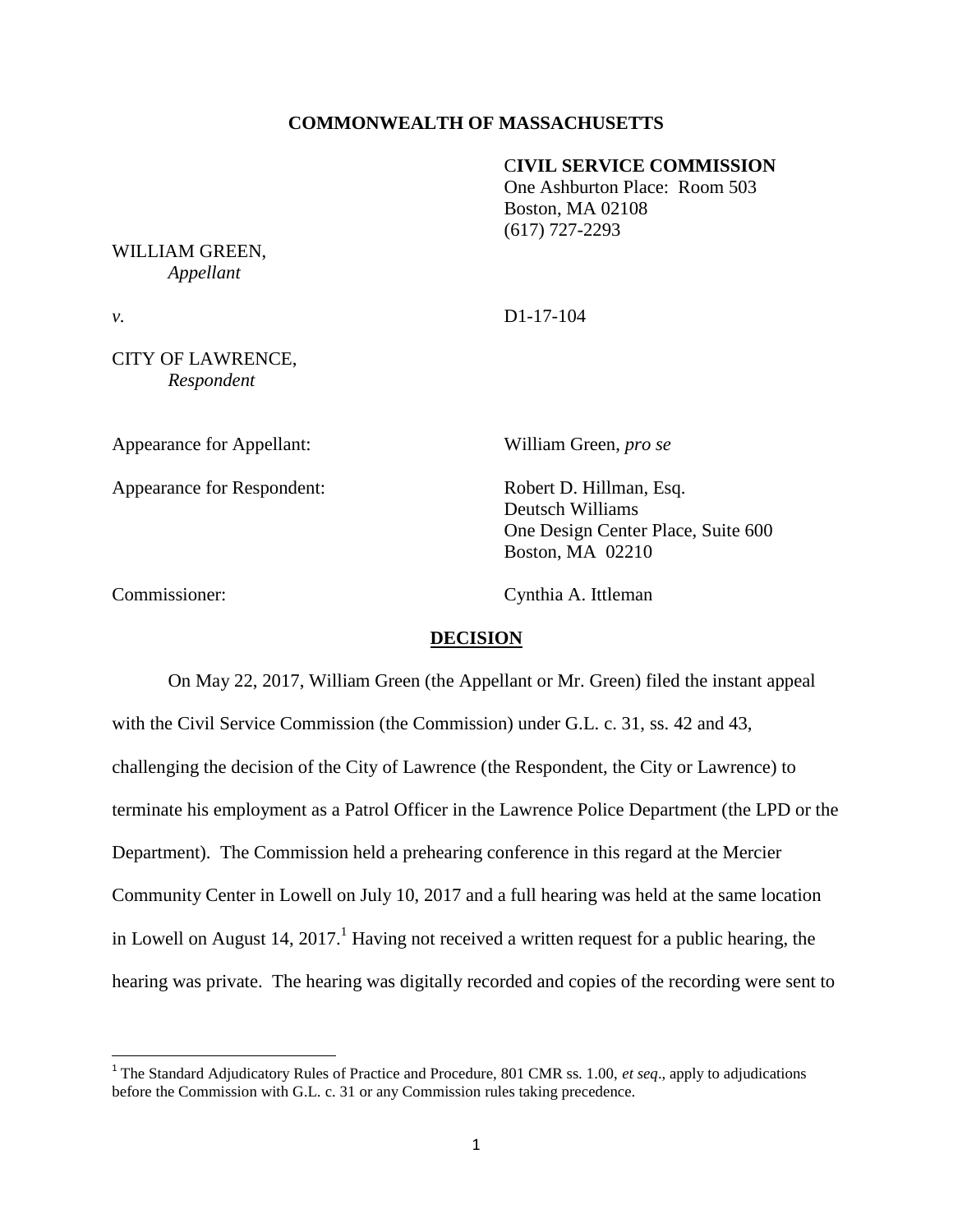### **COMMONWEALTH OF MASSACHUSETTS**

#### C**IVIL SERVICE COMMISSION**

One Ashburton Place: Room 503 Boston, MA 02108 (617) 727-2293

#### WILLIAM GREEN, *Appellant*

*v.* D1-17-104

# CITY OF LAWRENCE, *Respondent*

Appearance for Appellant: William Green, *pro se*

Appearance for Respondent: Robert D. Hillman, Esq.

Deutsch Williams One Design Center Place, Suite 600 Boston, MA 02210

 $\overline{\phantom{a}}$ 

Commissioner: Cynthia A. Ittleman

#### **DECISION**

On May 22, 2017, William Green (the Appellant or Mr. Green) filed the instant appeal with the Civil Service Commission (the Commission) under G.L. c. 31, ss. 42 and 43, challenging the decision of the City of Lawrence (the Respondent, the City or Lawrence) to terminate his employment as a Patrol Officer in the Lawrence Police Department (the LPD or the Department). The Commission held a prehearing conference in this regard at the Mercier Community Center in Lowell on July 10, 2017 and a full hearing was held at the same location in Lowell on August 14, 2017.<sup>1</sup> Having not received a written request for a public hearing, the hearing was private. The hearing was digitally recorded and copies of the recording were sent to

<sup>&</sup>lt;sup>1</sup> The Standard Adjudicatory Rules of Practice and Procedure, 801 CMR ss. 1.00, *et seq.*, apply to adjudications before the Commission with G.L. c. 31 or any Commission rules taking precedence.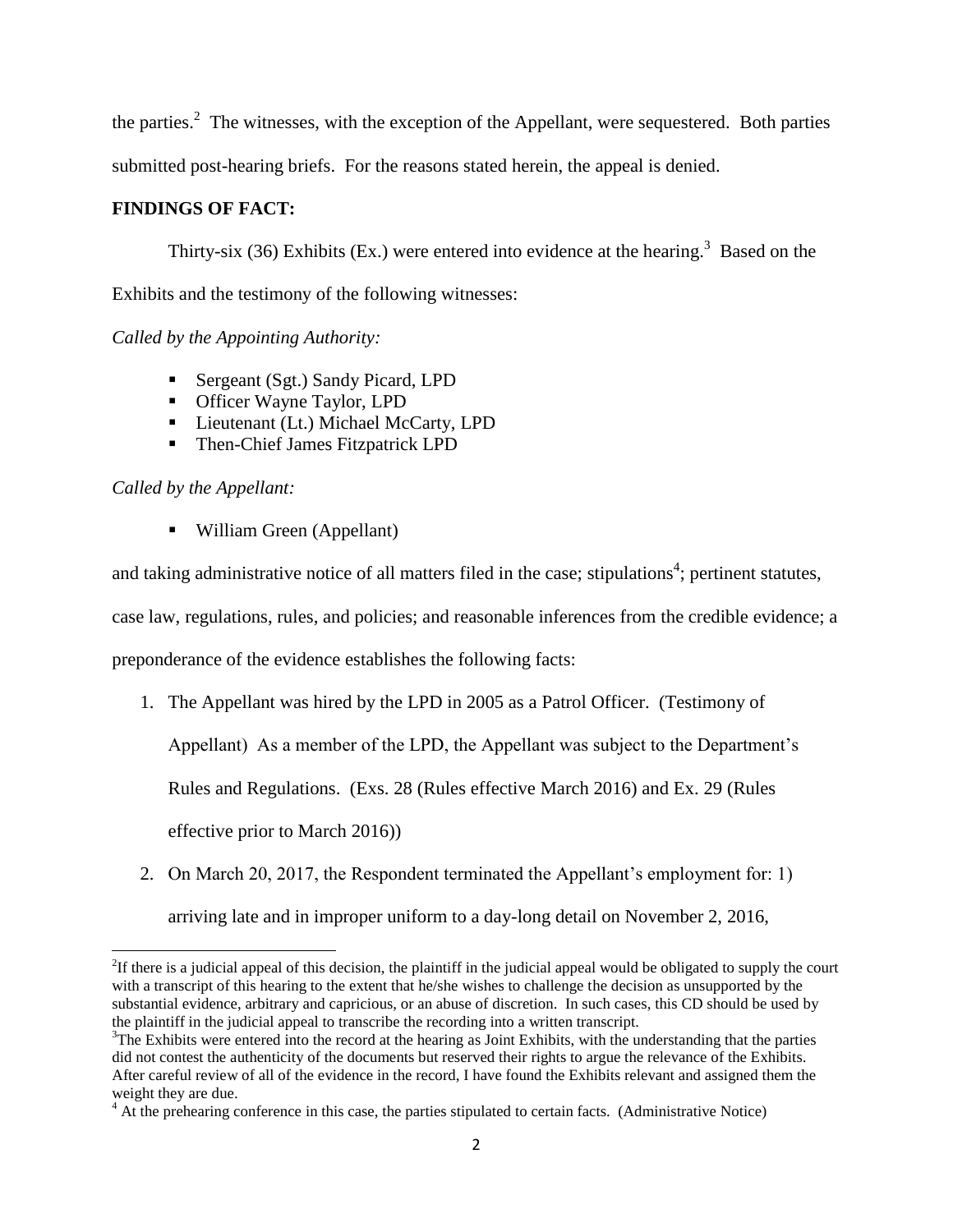the parties.<sup>2</sup> The witnesses, with the exception of the Appellant, were sequestered. Both parties submitted post-hearing briefs. For the reasons stated herein, the appeal is denied.

# **FINDINGS OF FACT:**

Thirty-six (36) Exhibits (Ex.) were entered into evidence at the hearing.<sup>3</sup> Based on the Exhibits and the testimony of the following witnesses:

*Called by the Appointing Authority:*

- Sergeant (Sgt.) Sandy Picard, LPD
- **•** Officer Wayne Taylor, LPD
- **Lieutenant (Lt.) Michael McCarty, LPD**
- Then-Chief James Fitzpatrick LPD

*Called by the Appellant:*

■ William Green (Appellant)

and taking administrative notice of all matters filed in the case; stipulations<sup>4</sup>; pertinent statutes,

case law, regulations, rules, and policies; and reasonable inferences from the credible evidence; a

preponderance of the evidence establishes the following facts:

1. The Appellant was hired by the LPD in 2005 as a Patrol Officer. (Testimony of

Appellant) As a member of the LPD, the Appellant was subject to the Department's

Rules and Regulations. (Exs. 28 (Rules effective March 2016) and Ex. 29 (Rules

effective prior to March 2016))

2. On March 20, 2017, the Respondent terminated the Appellant's employment for: 1)

arriving late and in improper uniform to a day-long detail on November 2, 2016,

 $\overline{\phantom{a}}$ <sup>2</sup>If there is a judicial appeal of this decision, the plaintiff in the judicial appeal would be obligated to supply the court with a transcript of this hearing to the extent that he/she wishes to challenge the decision as unsupported by the substantial evidence, arbitrary and capricious, or an abuse of discretion. In such cases, this CD should be used by the plaintiff in the judicial appeal to transcribe the recording into a written transcript.

 $3$ The Exhibits were entered into the record at the hearing as Joint Exhibits, with the understanding that the parties did not contest the authenticity of the documents but reserved their rights to argue the relevance of the Exhibits. After careful review of all of the evidence in the record, I have found the Exhibits relevant and assigned them the weight they are due.

<sup>&</sup>lt;sup>4</sup> At the prehearing conference in this case, the parties stipulated to certain facts. (Administrative Notice)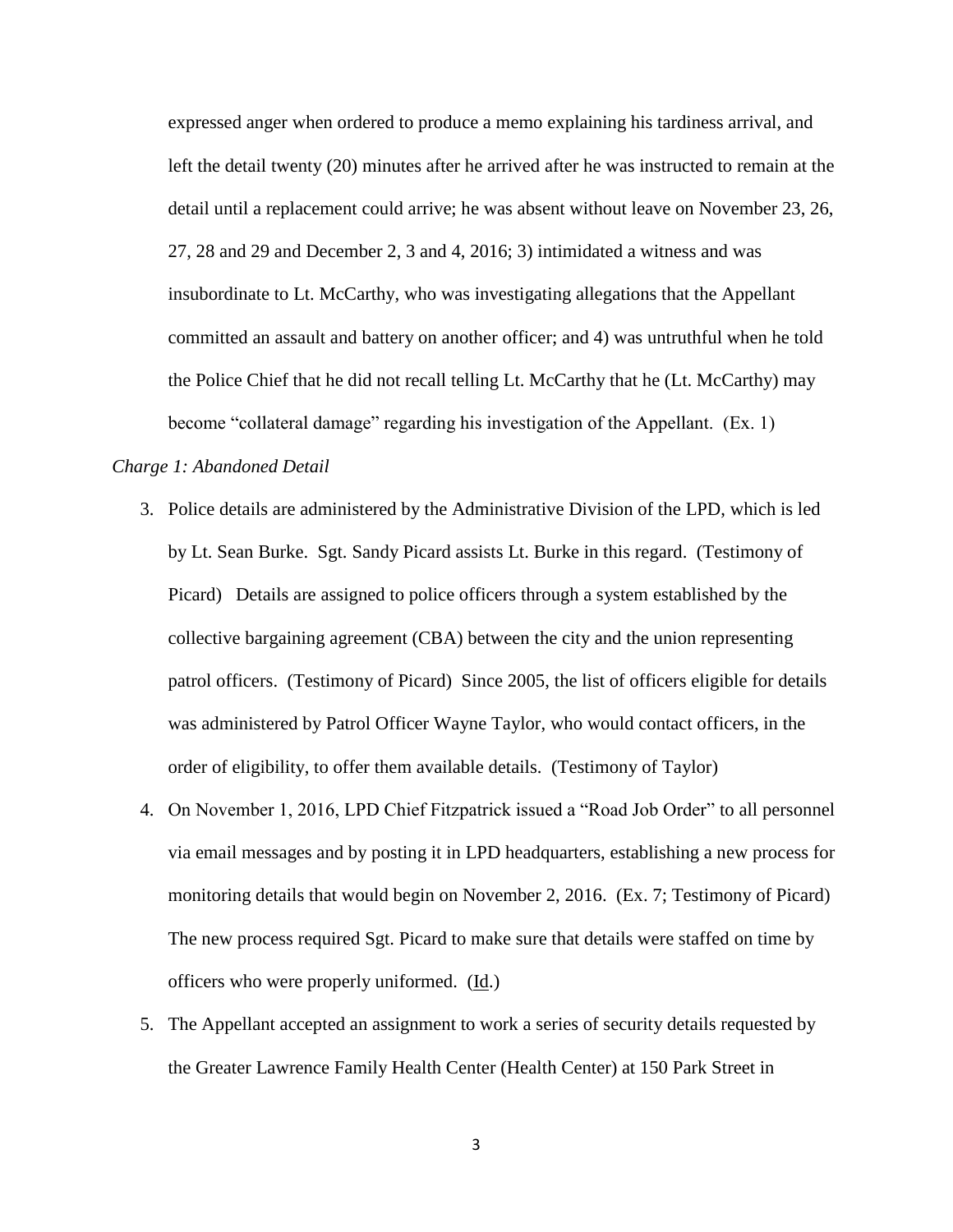expressed anger when ordered to produce a memo explaining his tardiness arrival, and left the detail twenty (20) minutes after he arrived after he was instructed to remain at the detail until a replacement could arrive; he was absent without leave on November 23, 26, 27, 28 and 29 and December 2, 3 and 4, 2016; 3) intimidated a witness and was insubordinate to Lt. McCarthy, who was investigating allegations that the Appellant committed an assault and battery on another officer; and 4) was untruthful when he told the Police Chief that he did not recall telling Lt. McCarthy that he (Lt. McCarthy) may become "collateral damage" regarding his investigation of the Appellant. (Ex. 1)

### *Charge 1: Abandoned Detail*

- 3. Police details are administered by the Administrative Division of the LPD, which is led by Lt. Sean Burke. Sgt. Sandy Picard assists Lt. Burke in this regard. (Testimony of Picard) Details are assigned to police officers through a system established by the collective bargaining agreement (CBA) between the city and the union representing patrol officers. (Testimony of Picard) Since 2005, the list of officers eligible for details was administered by Patrol Officer Wayne Taylor, who would contact officers, in the order of eligibility, to offer them available details. (Testimony of Taylor)
- 4. On November 1, 2016, LPD Chief Fitzpatrick issued a "Road Job Order" to all personnel via email messages and by posting it in LPD headquarters, establishing a new process for monitoring details that would begin on November 2, 2016. (Ex. 7; Testimony of Picard) The new process required Sgt. Picard to make sure that details were staffed on time by officers who were properly uniformed. (Id.)
- 5. The Appellant accepted an assignment to work a series of security details requested by the Greater Lawrence Family Health Center (Health Center) at 150 Park Street in

3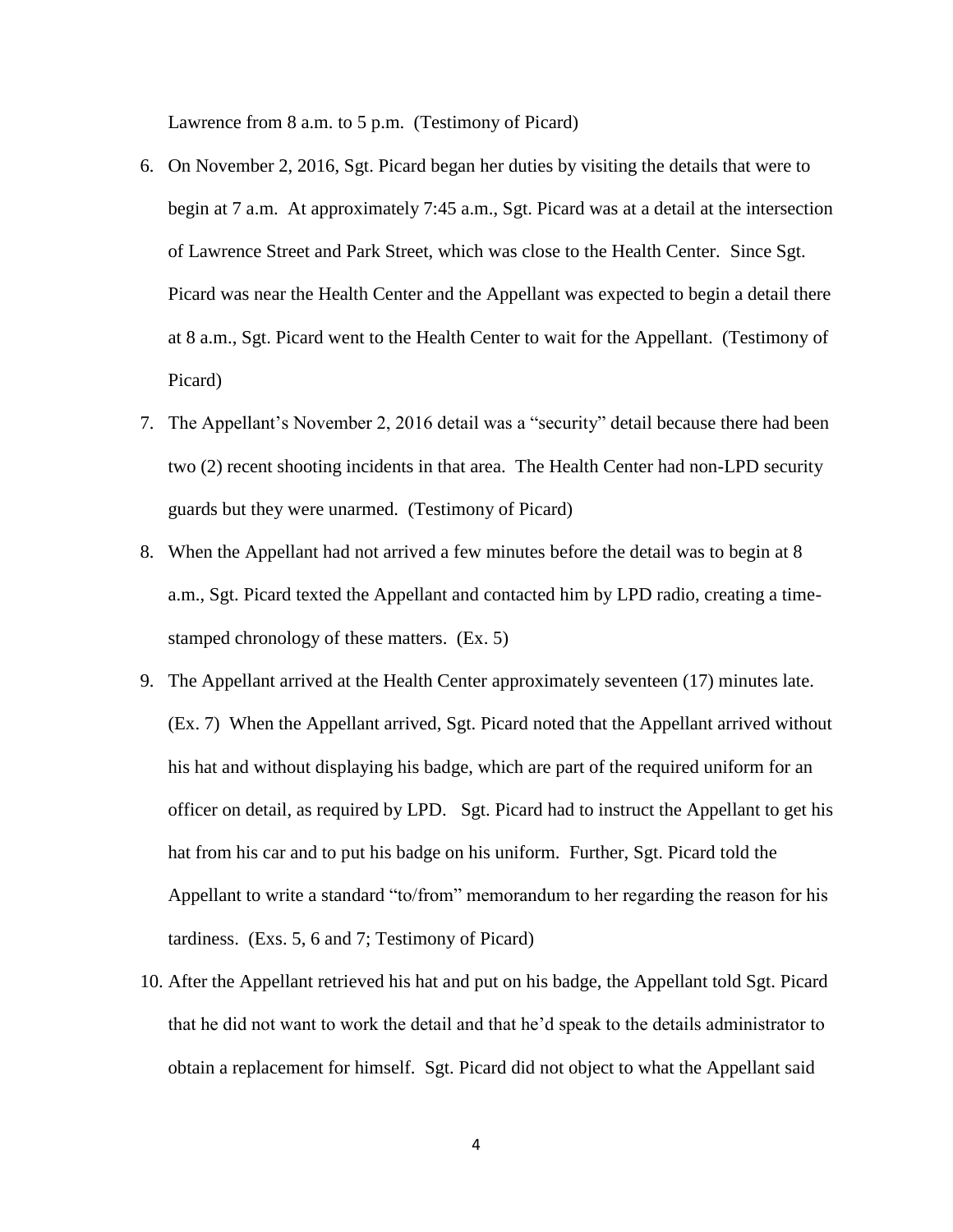Lawrence from 8 a.m. to 5 p.m. (Testimony of Picard)

- 6. On November 2, 2016, Sgt. Picard began her duties by visiting the details that were to begin at 7 a.m. At approximately 7:45 a.m., Sgt. Picard was at a detail at the intersection of Lawrence Street and Park Street, which was close to the Health Center. Since Sgt. Picard was near the Health Center and the Appellant was expected to begin a detail there at 8 a.m., Sgt. Picard went to the Health Center to wait for the Appellant. (Testimony of Picard)
- 7. The Appellant's November 2, 2016 detail was a "security" detail because there had been two (2) recent shooting incidents in that area. The Health Center had non-LPD security guards but they were unarmed. (Testimony of Picard)
- 8. When the Appellant had not arrived a few minutes before the detail was to begin at 8 a.m., Sgt. Picard texted the Appellant and contacted him by LPD radio, creating a timestamped chronology of these matters. (Ex. 5)
- 9. The Appellant arrived at the Health Center approximately seventeen (17) minutes late. (Ex. 7) When the Appellant arrived, Sgt. Picard noted that the Appellant arrived without his hat and without displaying his badge, which are part of the required uniform for an officer on detail, as required by LPD. Sgt. Picard had to instruct the Appellant to get his hat from his car and to put his badge on his uniform. Further, Sgt. Picard told the Appellant to write a standard "to/from" memorandum to her regarding the reason for his tardiness. (Exs. 5, 6 and 7; Testimony of Picard)
- 10. After the Appellant retrieved his hat and put on his badge, the Appellant told Sgt. Picard that he did not want to work the detail and that he'd speak to the details administrator to obtain a replacement for himself. Sgt. Picard did not object to what the Appellant said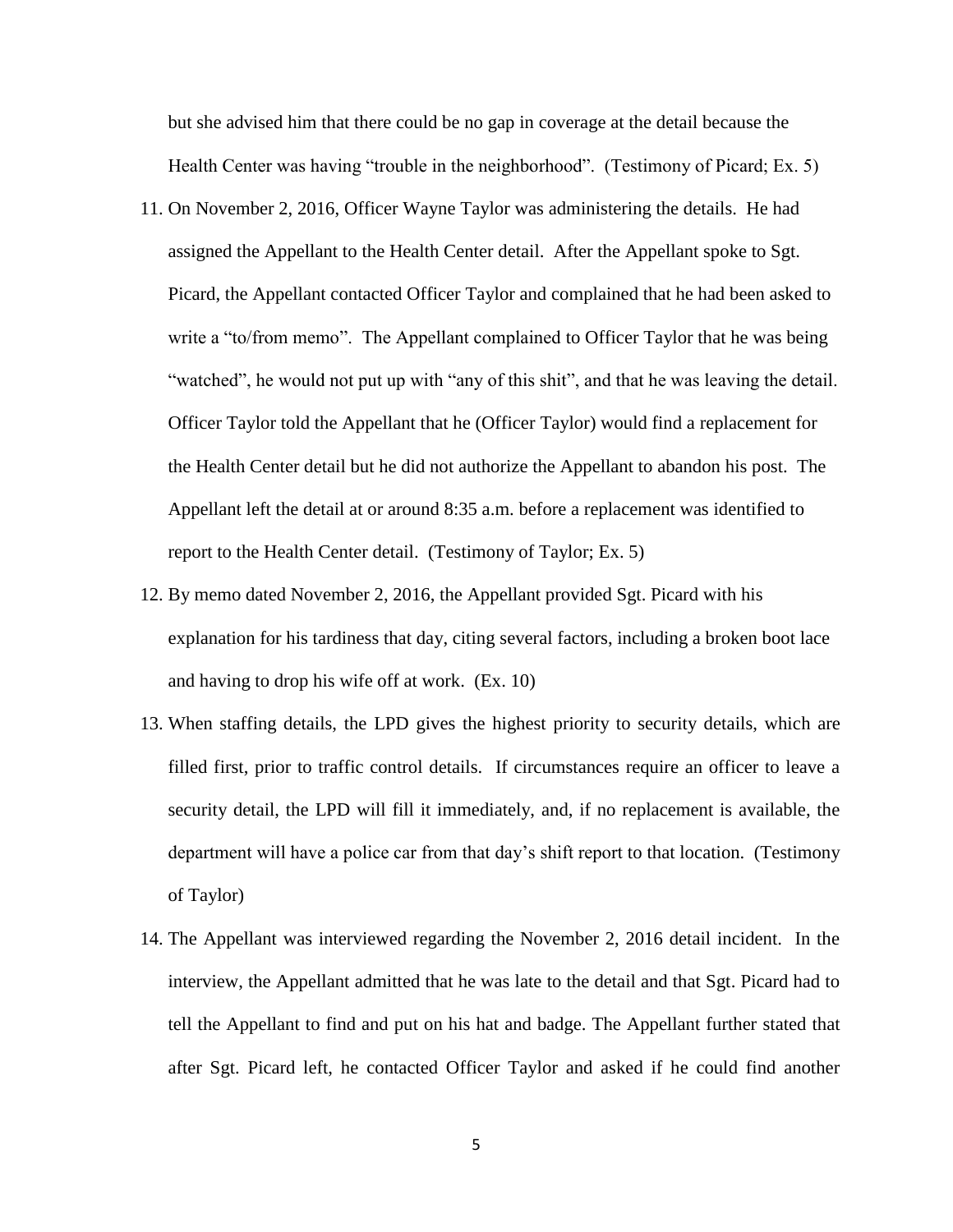but she advised him that there could be no gap in coverage at the detail because the Health Center was having "trouble in the neighborhood". (Testimony of Picard; Ex. 5)

- 11. On November 2, 2016, Officer Wayne Taylor was administering the details. He had assigned the Appellant to the Health Center detail. After the Appellant spoke to Sgt. Picard, the Appellant contacted Officer Taylor and complained that he had been asked to write a "to/from memo". The Appellant complained to Officer Taylor that he was being "watched", he would not put up with "any of this shit", and that he was leaving the detail. Officer Taylor told the Appellant that he (Officer Taylor) would find a replacement for the Health Center detail but he did not authorize the Appellant to abandon his post. The Appellant left the detail at or around 8:35 a.m. before a replacement was identified to report to the Health Center detail. (Testimony of Taylor; Ex. 5)
- 12. By memo dated November 2, 2016, the Appellant provided Sgt. Picard with his explanation for his tardiness that day, citing several factors, including a broken boot lace and having to drop his wife off at work. (Ex. 10)
- 13. When staffing details, the LPD gives the highest priority to security details, which are filled first, prior to traffic control details. If circumstances require an officer to leave a security detail, the LPD will fill it immediately, and, if no replacement is available, the department will have a police car from that day's shift report to that location. (Testimony of Taylor)
- 14. The Appellant was interviewed regarding the November 2, 2016 detail incident. In the interview, the Appellant admitted that he was late to the detail and that Sgt. Picard had to tell the Appellant to find and put on his hat and badge. The Appellant further stated that after Sgt. Picard left, he contacted Officer Taylor and asked if he could find another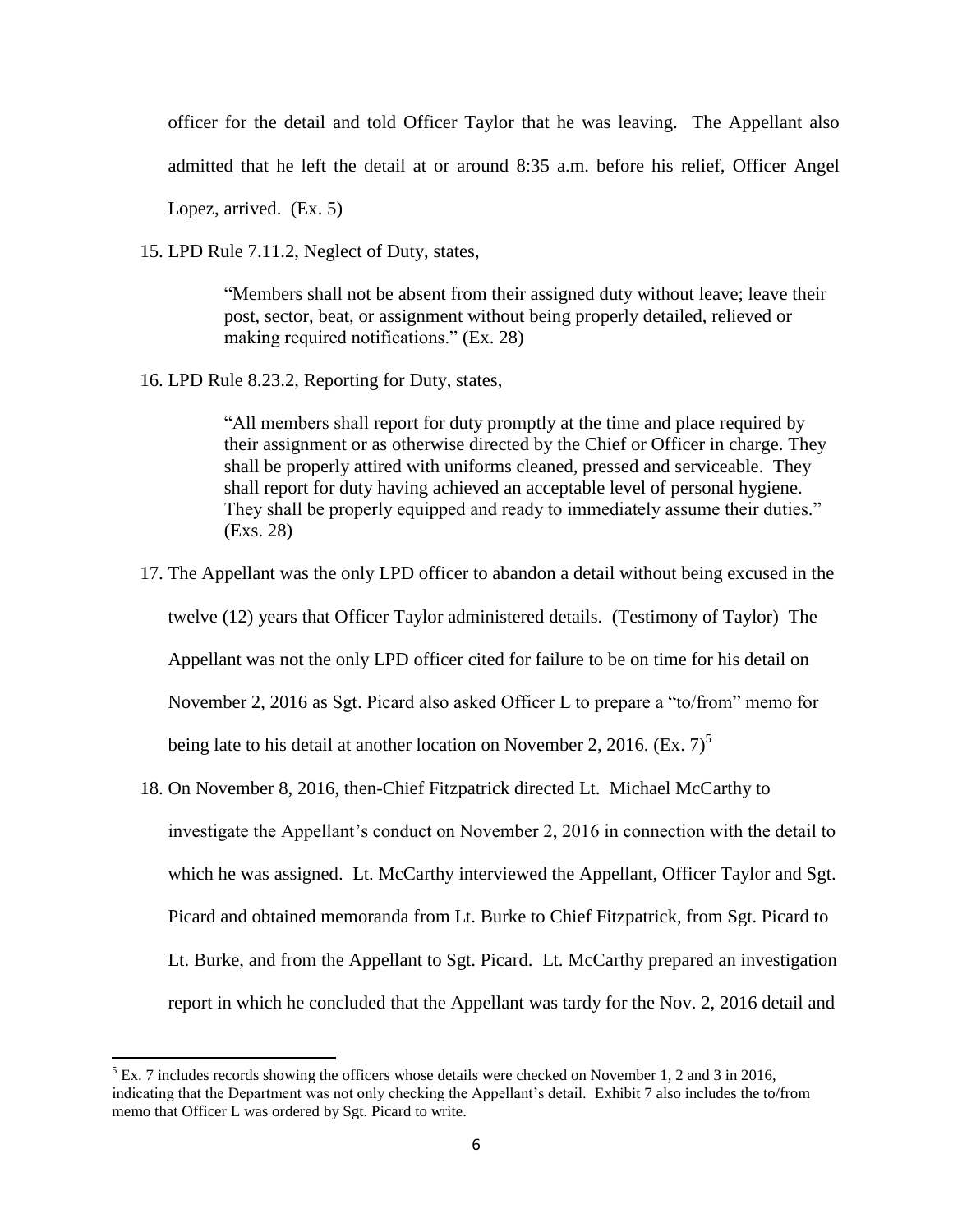officer for the detail and told Officer Taylor that he was leaving. The Appellant also admitted that he left the detail at or around 8:35 a.m. before his relief, Officer Angel

Lopez, arrived. (Ex. 5)

 $\overline{\phantom{a}}$ 

15. LPD Rule 7.11.2, Neglect of Duty, states,

"Members shall not be absent from their assigned duty without leave; leave their post, sector, beat, or assignment without being properly detailed, relieved or making required notifications." (Ex. 28)

16. LPD Rule 8.23.2, Reporting for Duty, states,

"All members shall report for duty promptly at the time and place required by their assignment or as otherwise directed by the Chief or Officer in charge. They shall be properly attired with uniforms cleaned, pressed and serviceable. They shall report for duty having achieved an acceptable level of personal hygiene. They shall be properly equipped and ready to immediately assume their duties." (Exs. 28)

17. The Appellant was the only LPD officer to abandon a detail without being excused in the

twelve (12) years that Officer Taylor administered details. (Testimony of Taylor) The

Appellant was not the only LPD officer cited for failure to be on time for his detail on

November 2, 2016 as Sgt. Picard also asked Officer L to prepare a "to/from" memo for

being late to his detail at another location on November 2, 2016. (Ex.  $7)^5$ )

18. On November 8, 2016, then-Chief Fitzpatrick directed Lt. Michael McCarthy to investigate the Appellant's conduct on November 2, 2016 in connection with the detail to which he was assigned. Lt. McCarthy interviewed the Appellant, Officer Taylor and Sgt. Picard and obtained memoranda from Lt. Burke to Chief Fitzpatrick, from Sgt. Picard to Lt. Burke, and from the Appellant to Sgt. Picard. Lt. McCarthy prepared an investigation report in which he concluded that the Appellant was tardy for the Nov. 2, 2016 detail and

 $<sup>5</sup>$  Ex. 7 includes records showing the officers whose details were checked on November 1, 2 and 3 in 2016,</sup> indicating that the Department was not only checking the Appellant's detail. Exhibit 7 also includes the to/from memo that Officer L was ordered by Sgt. Picard to write.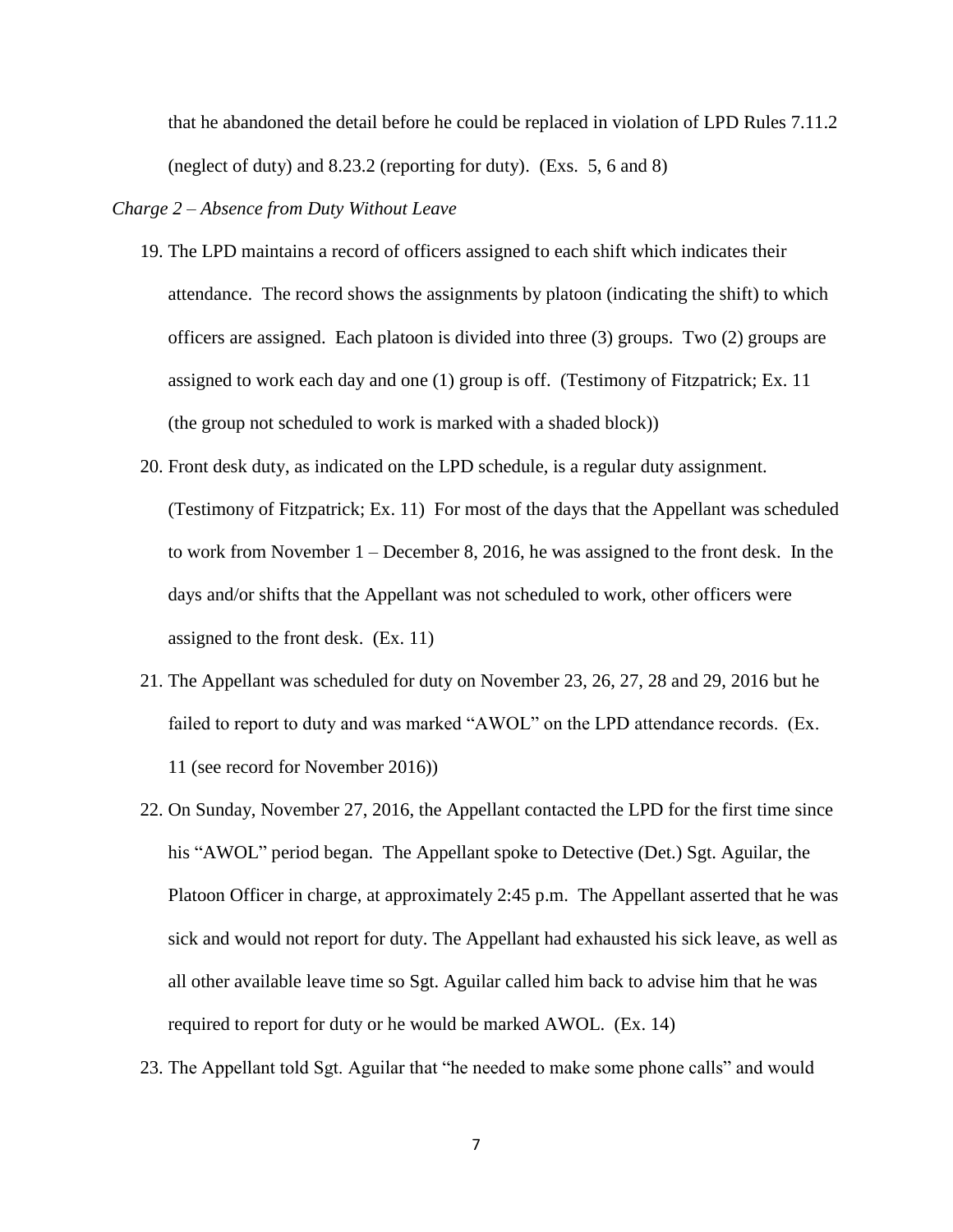that he abandoned the detail before he could be replaced in violation of LPD Rules 7.11.2 (neglect of duty) and 8.23.2 (reporting for duty). (Exs. 5, 6 and 8)

## *Charge 2 – Absence from Duty Without Leave*

- 19. The LPD maintains a record of officers assigned to each shift which indicates their attendance. The record shows the assignments by platoon (indicating the shift) to which officers are assigned. Each platoon is divided into three (3) groups. Two (2) groups are assigned to work each day and one (1) group is off. (Testimony of Fitzpatrick; Ex. 11 (the group not scheduled to work is marked with a shaded block))
- 20. Front desk duty, as indicated on the LPD schedule, is a regular duty assignment. (Testimony of Fitzpatrick; Ex. 11) For most of the days that the Appellant was scheduled to work from November 1 – December 8, 2016, he was assigned to the front desk. In the days and/or shifts that the Appellant was not scheduled to work, other officers were assigned to the front desk. (Ex. 11)
- 21. The Appellant was scheduled for duty on November 23, 26, 27, 28 and 29, 2016 but he failed to report to duty and was marked "AWOL" on the LPD attendance records. (Ex. 11 (see record for November 2016))
- 22. On Sunday, November 27, 2016, the Appellant contacted the LPD for the first time since his "AWOL" period began. The Appellant spoke to Detective (Det.) Sgt. Aguilar, the Platoon Officer in charge, at approximately 2:45 p.m. The Appellant asserted that he was sick and would not report for duty. The Appellant had exhausted his sick leave, as well as all other available leave time so Sgt. Aguilar called him back to advise him that he was required to report for duty or he would be marked AWOL. (Ex. 14)
- 23. The Appellant told Sgt. Aguilar that "he needed to make some phone calls" and would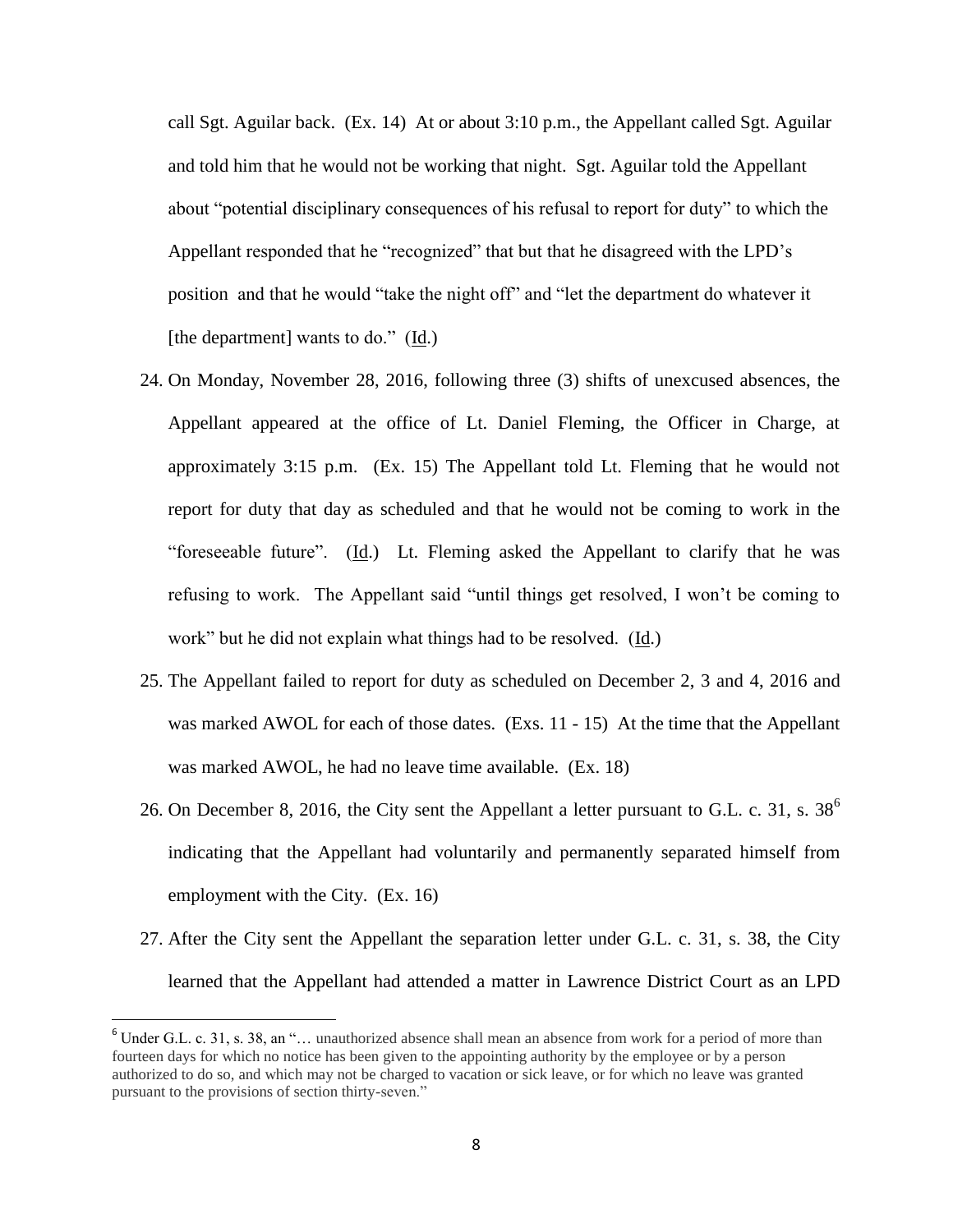call Sgt. Aguilar back.  $(Ex. 14)$  At or about 3:10 p.m., the Appellant called Sgt. Aguilar and told him that he would not be working that night. Sgt. Aguilar told the Appellant about "potential disciplinary consequences of his refusal to report for duty" to which the Appellant responded that he "recognized" that but that he disagreed with the LPD's position and that he would "take the night off" and "let the department do whatever it [the department] wants to do." (Id.)

- 24. On Monday, November 28, 2016, following three (3) shifts of unexcused absences, the Appellant appeared at the office of Lt. Daniel Fleming, the Officer in Charge, at approximately 3:15 p.m. (Ex. 15) The Appellant told Lt. Fleming that he would not report for duty that day as scheduled and that he would not be coming to work in the "foreseeable future". (Id.) Lt. Fleming asked the Appellant to clarify that he was refusing to work. The Appellant said "until things get resolved, I won't be coming to work" but he did not explain what things had to be resolved. (Id.)
- 25. The Appellant failed to report for duty as scheduled on December 2, 3 and 4, 2016 and was marked AWOL for each of those dates. (Exs. 11 - 15) At the time that the Appellant was marked AWOL, he had no leave time available. (Ex. 18)
- 26. On December 8, 2016, the City sent the Appellant a letter pursuant to G.L. c. 31, s.  $38^6$ indicating that the Appellant had voluntarily and permanently separated himself from employment with the City. (Ex. 16)
- 27. After the City sent the Appellant the separation letter under G.L. c. 31, s. 38, the City learned that the Appellant had attended a matter in Lawrence District Court as an LPD

 $\overline{a}$ 

<sup>&</sup>lt;sup>6</sup> Under G.L. c. 31, s. 38, an "... unauthorized absence shall mean an absence from work for a period of more than fourteen days for which no notice has been given to the appointing authority by the employee or by a person authorized to do so, and which may not be charged to vacation or sick leave, or for which no leave was granted pursuant to the provisions of section thirty-seven."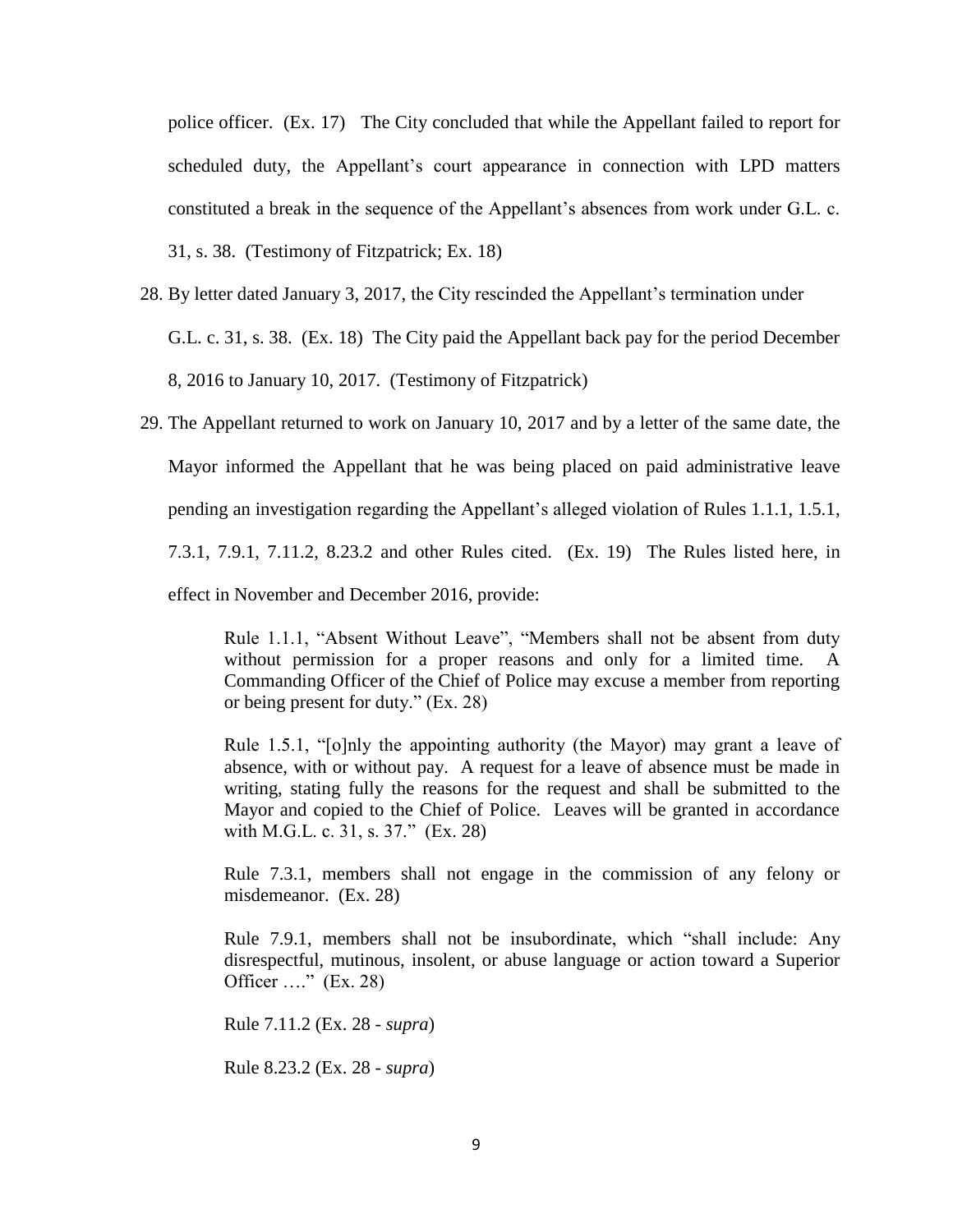police officer. (Ex. 17) The City concluded that while the Appellant failed to report for scheduled duty, the Appellant's court appearance in connection with LPD matters constituted a break in the sequence of the Appellant's absences from work under G.L. c. 31, s. 38. (Testimony of Fitzpatrick; Ex. 18)

- 28. By letter dated January 3, 2017, the City rescinded the Appellant's termination under G.L. c. 31, s. 38. (Ex. 18) The City paid the Appellant back pay for the period December 8, 2016 to January 10, 2017. (Testimony of Fitzpatrick)
- 29. The Appellant returned to work on January 10, 2017 and by a letter of the same date, the Mayor informed the Appellant that he was being placed on paid administrative leave pending an investigation regarding the Appellant's alleged violation of Rules 1.1.1, 1.5.1, 7.3.1, 7.9.1, 7.11.2, 8.23.2 and other Rules cited. (Ex. 19) The Rules listed here, in effect in November and December 2016, provide:

Rule 1.1.1, "Absent Without Leave", "Members shall not be absent from duty without permission for a proper reasons and only for a limited time. A Commanding Officer of the Chief of Police may excuse a member from reporting or being present for duty." (Ex. 28)

Rule 1.5.1, "[o]nly the appointing authority (the Mayor) may grant a leave of absence, with or without pay. A request for a leave of absence must be made in writing, stating fully the reasons for the request and shall be submitted to the Mayor and copied to the Chief of Police. Leaves will be granted in accordance with M.G.L. c. 31, s. 37." (Ex. 28)

Rule 7.3.1, members shall not engage in the commission of any felony or misdemeanor. (Ex. 28)

Rule 7.9.1, members shall not be insubordinate, which "shall include: Any disrespectful, mutinous, insolent, or abuse language or action toward a Superior Officer  $\ldots$ " (Ex. 28)

Rule 7.11.2 (Ex. 28 - *supra*)

Rule 8.23.2 (Ex. 28 - *supra*)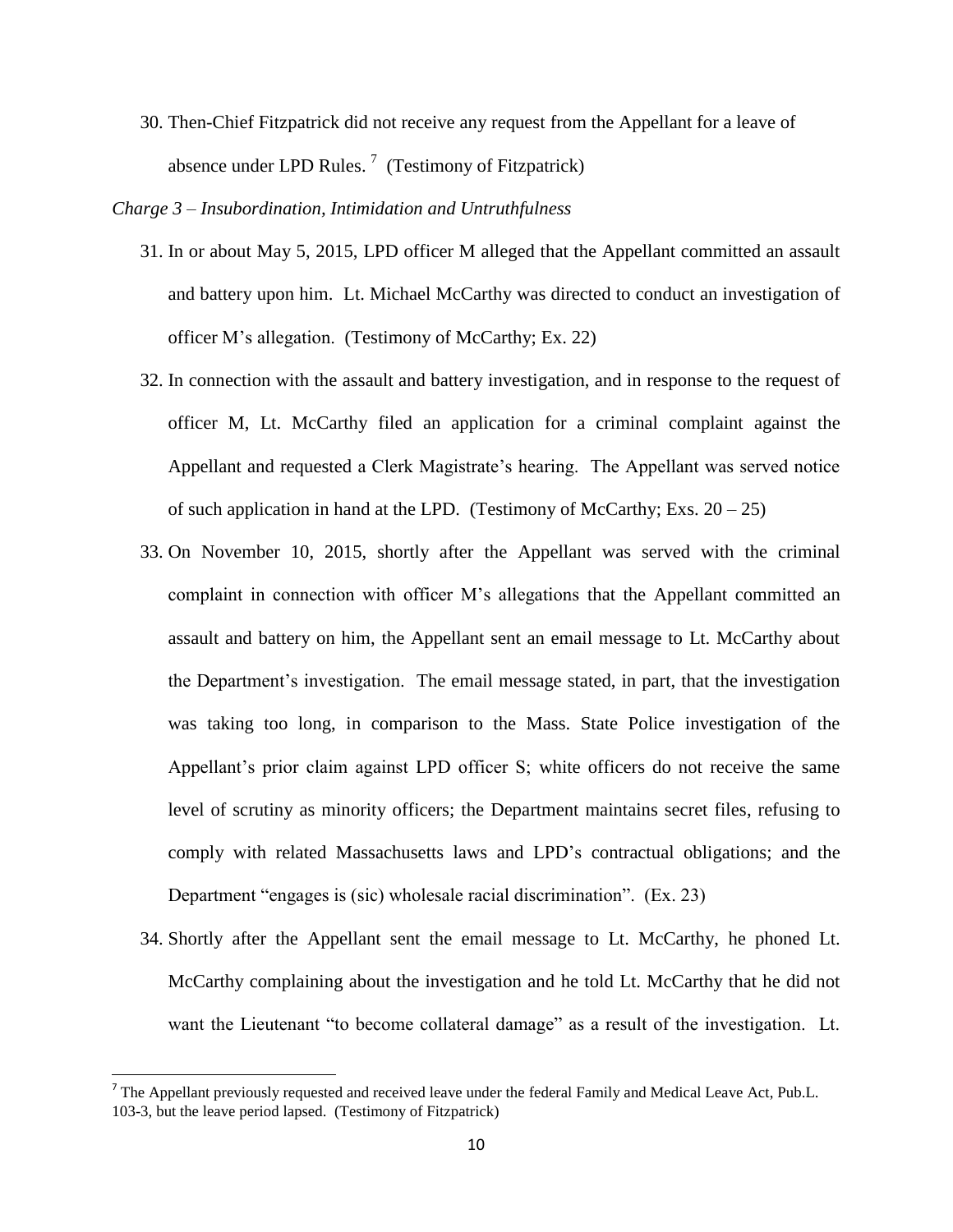30. Then-Chief Fitzpatrick did not receive any request from the Appellant for a leave of absence under LPD Rules.<sup>7</sup> (Testimony of Fitzpatrick)

*Charge 3 – Insubordination, Intimidation and Untruthfulness*

- 31. In or about May 5, 2015, LPD officer M alleged that the Appellant committed an assault and battery upon him. Lt. Michael McCarthy was directed to conduct an investigation of officer M's allegation. (Testimony of McCarthy; Ex. 22)
- 32. In connection with the assault and battery investigation, and in response to the request of officer M, Lt. McCarthy filed an application for a criminal complaint against the Appellant and requested a Clerk Magistrate's hearing. The Appellant was served notice of such application in hand at the LPD. (Testimony of McCarthy; Exs.  $20 - 25$ )
- 33. On November 10, 2015, shortly after the Appellant was served with the criminal complaint in connection with officer M's allegations that the Appellant committed an assault and battery on him, the Appellant sent an email message to Lt. McCarthy about the Department's investigation. The email message stated, in part, that the investigation was taking too long, in comparison to the Mass. State Police investigation of the Appellant's prior claim against LPD officer S; white officers do not receive the same level of scrutiny as minority officers; the Department maintains secret files, refusing to comply with related Massachusetts laws and LPD's contractual obligations; and the Department "engages is (sic) wholesale racial discrimination". (Ex. 23)
- 34. Shortly after the Appellant sent the email message to Lt. McCarthy, he phoned Lt. McCarthy complaining about the investigation and he told Lt. McCarthy that he did not want the Lieutenant "to become collateral damage" as a result of the investigation. Lt.

<sup>&</sup>lt;sup>7</sup> The Appellant previously requested and received leave under the federal Family and Medical Leave Act, Pub.L. 103-3, but the leave period lapsed. (Testimony of Fitzpatrick)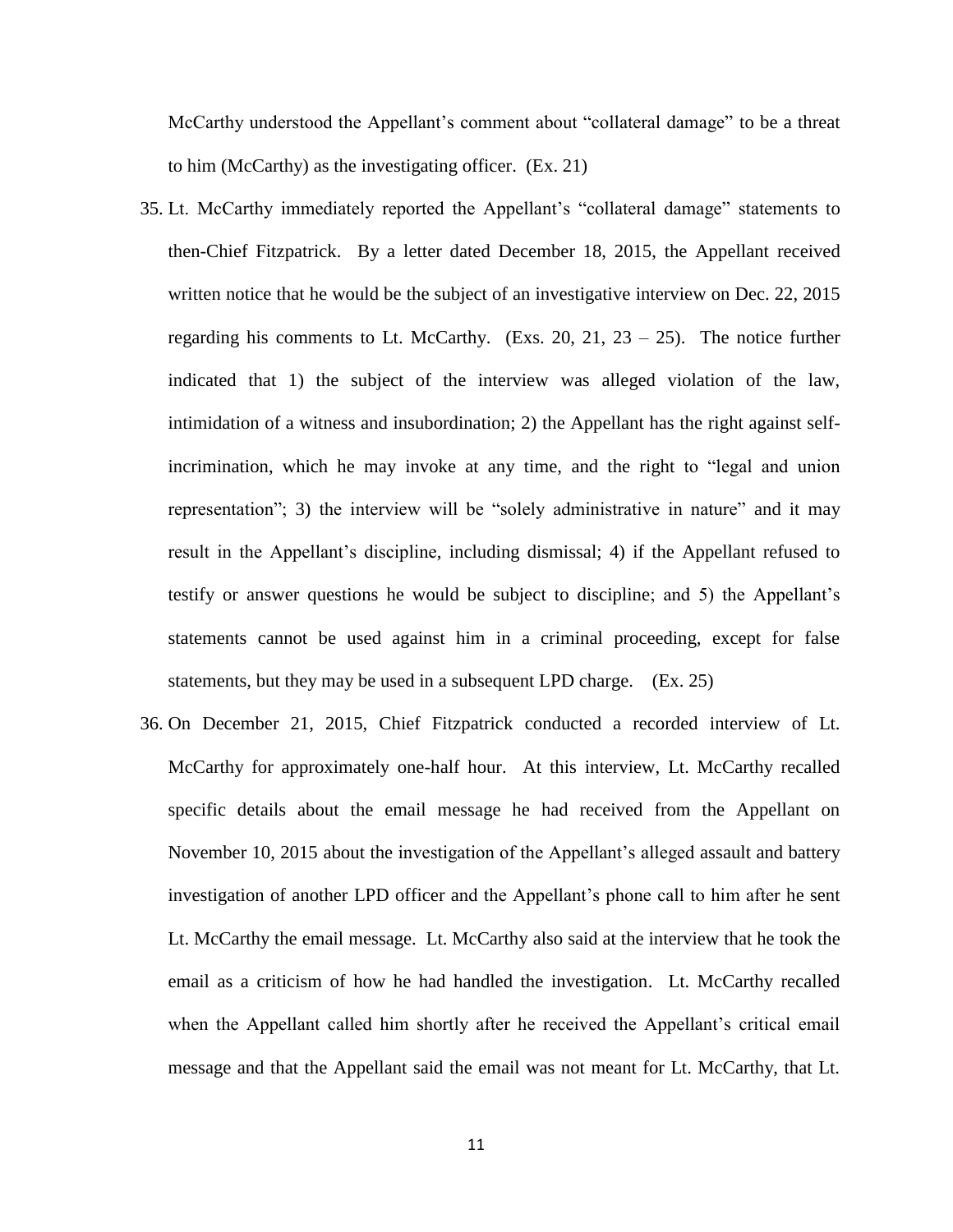McCarthy understood the Appellant's comment about "collateral damage" to be a threat to him (McCarthy) as the investigating officer. (Ex. 21)

- 35. Lt. McCarthy immediately reported the Appellant's "collateral damage" statements to then-Chief Fitzpatrick. By a letter dated December 18, 2015, the Appellant received written notice that he would be the subject of an investigative interview on Dec. 22, 2015 regarding his comments to Lt. McCarthy. (Exs. 20, 21, 23 – 25). The notice further indicated that 1) the subject of the interview was alleged violation of the law, intimidation of a witness and insubordination; 2) the Appellant has the right against selfincrimination, which he may invoke at any time, and the right to "legal and union representation"; 3) the interview will be "solely administrative in nature" and it may result in the Appellant's discipline, including dismissal; 4) if the Appellant refused to testify or answer questions he would be subject to discipline; and 5) the Appellant's statements cannot be used against him in a criminal proceeding, except for false statements, but they may be used in a subsequent LPD charge. (Ex. 25)
- 36. On December 21, 2015, Chief Fitzpatrick conducted a recorded interview of Lt. McCarthy for approximately one-half hour. At this interview, Lt. McCarthy recalled specific details about the email message he had received from the Appellant on November 10, 2015 about the investigation of the Appellant's alleged assault and battery investigation of another LPD officer and the Appellant's phone call to him after he sent Lt. McCarthy the email message. Lt. McCarthy also said at the interview that he took the email as a criticism of how he had handled the investigation. Lt. McCarthy recalled when the Appellant called him shortly after he received the Appellant's critical email message and that the Appellant said the email was not meant for Lt. McCarthy, that Lt.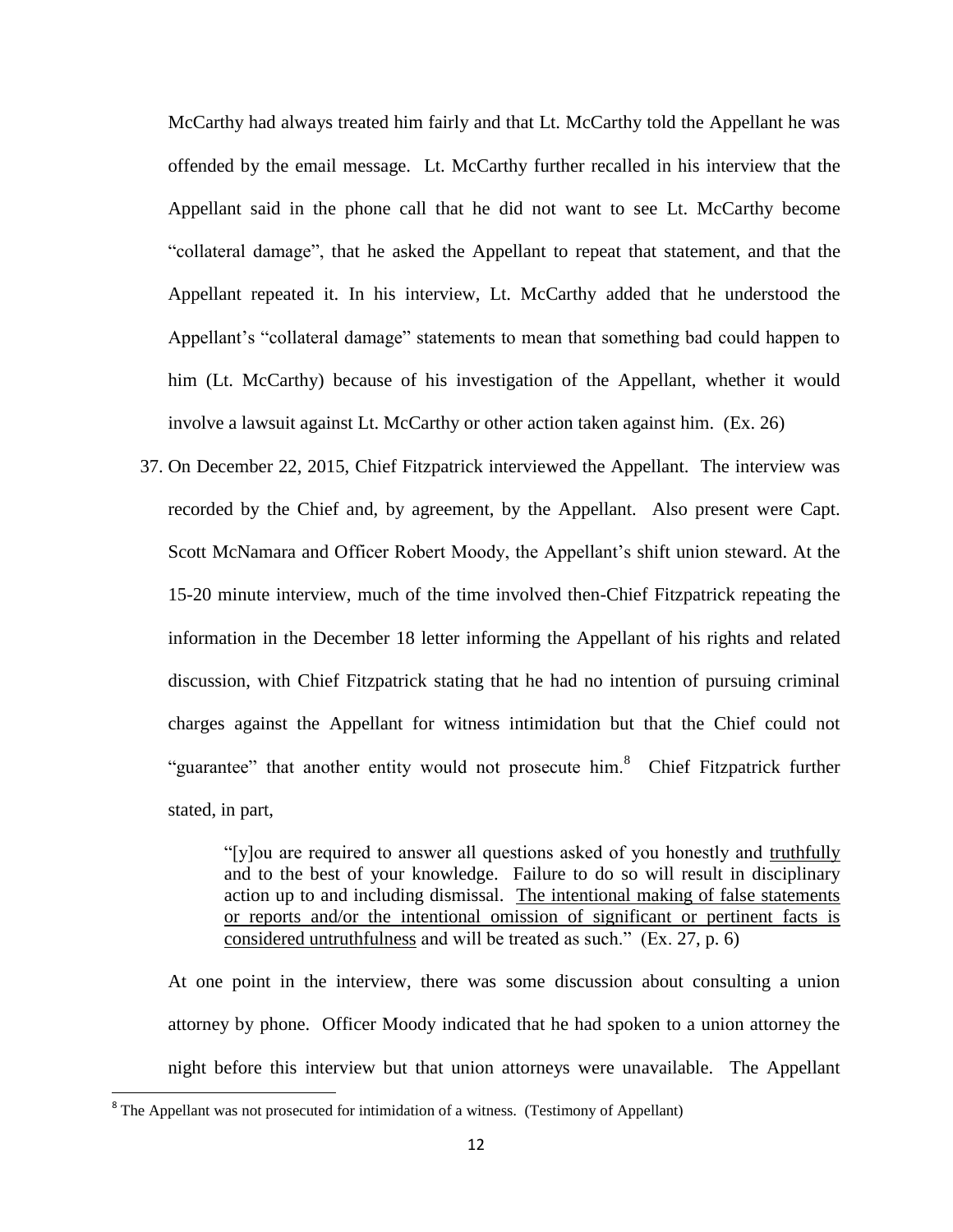McCarthy had always treated him fairly and that Lt. McCarthy told the Appellant he was offended by the email message. Lt. McCarthy further recalled in his interview that the Appellant said in the phone call that he did not want to see Lt. McCarthy become "collateral damage", that he asked the Appellant to repeat that statement, and that the Appellant repeated it. In his interview, Lt. McCarthy added that he understood the Appellant's "collateral damage" statements to mean that something bad could happen to him (Lt. McCarthy) because of his investigation of the Appellant, whether it would involve a lawsuit against Lt. McCarthy or other action taken against him. (Ex. 26)

37. On December 22, 2015, Chief Fitzpatrick interviewed the Appellant. The interview was recorded by the Chief and, by agreement, by the Appellant. Also present were Capt. Scott McNamara and Officer Robert Moody, the Appellant's shift union steward. At the 15-20 minute interview, much of the time involved then-Chief Fitzpatrick repeating the information in the December 18 letter informing the Appellant of his rights and related discussion, with Chief Fitzpatrick stating that he had no intention of pursuing criminal charges against the Appellant for witness intimidation but that the Chief could not "guarantee" that another entity would not prosecute him.<sup>8</sup> Chief Fitzpatrick further stated, in part,

> "[y]ou are required to answer all questions asked of you honestly and truthfully and to the best of your knowledge. Failure to do so will result in disciplinary action up to and including dismissal. The intentional making of false statements or reports and/or the intentional omission of significant or pertinent facts is considered untruthfulness and will be treated as such." (Ex. 27, p. 6)

At one point in the interview, there was some discussion about consulting a union attorney by phone. Officer Moody indicated that he had spoken to a union attorney the night before this interview but that union attorneys were unavailable. The Appellant

 $\overline{\phantom{a}}$ 

<sup>&</sup>lt;sup>8</sup> The Appellant was not prosecuted for intimidation of a witness. (Testimony of Appellant)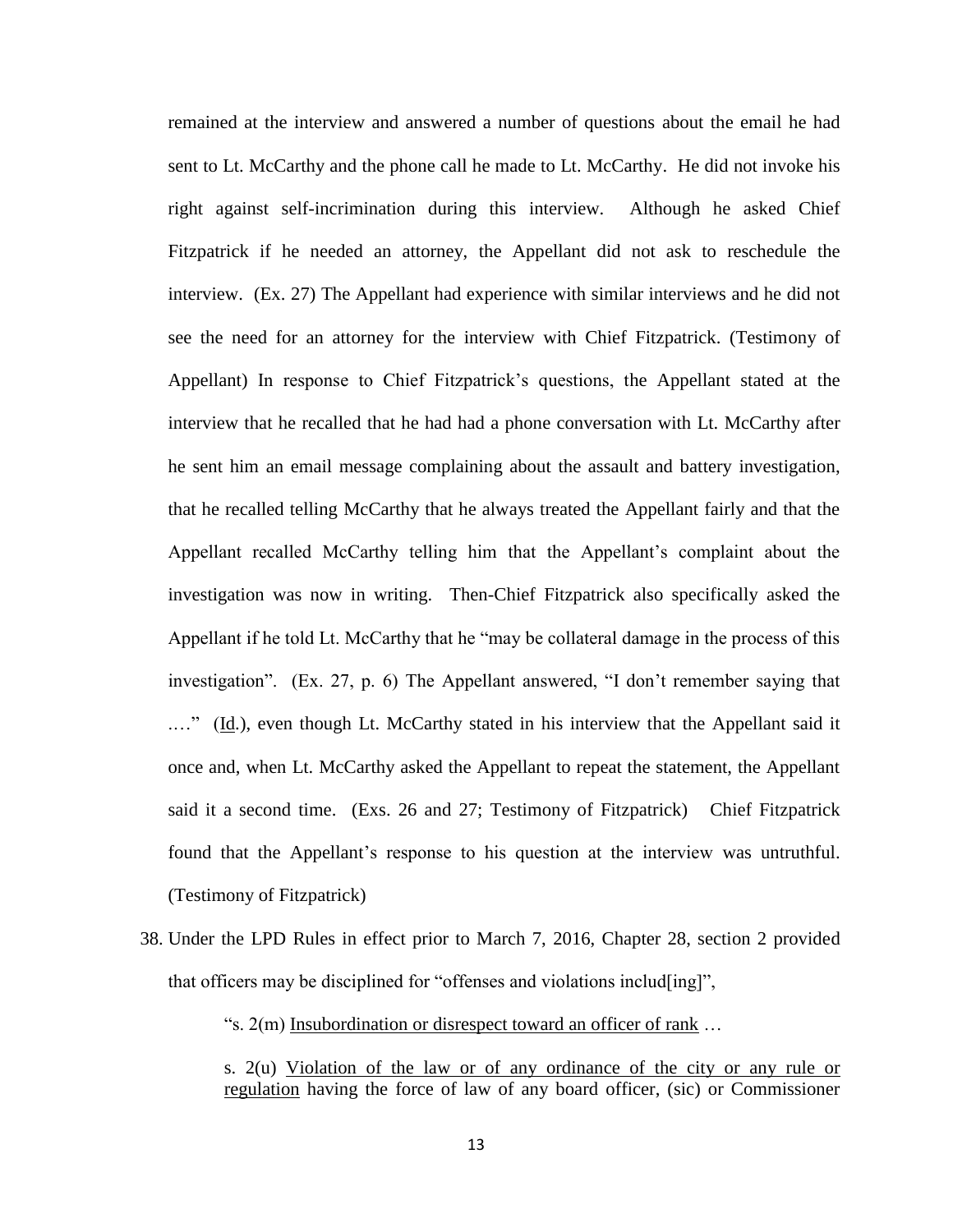remained at the interview and answered a number of questions about the email he had sent to Lt. McCarthy and the phone call he made to Lt. McCarthy. He did not invoke his right against self-incrimination during this interview. Although he asked Chief Fitzpatrick if he needed an attorney, the Appellant did not ask to reschedule the interview. (Ex. 27) The Appellant had experience with similar interviews and he did not see the need for an attorney for the interview with Chief Fitzpatrick. (Testimony of Appellant) In response to Chief Fitzpatrick's questions, the Appellant stated at the interview that he recalled that he had had a phone conversation with Lt. McCarthy after he sent him an email message complaining about the assault and battery investigation, that he recalled telling McCarthy that he always treated the Appellant fairly and that the Appellant recalled McCarthy telling him that the Appellant's complaint about the investigation was now in writing. Then-Chief Fitzpatrick also specifically asked the Appellant if he told Lt. McCarthy that he "may be collateral damage in the process of this investigation". (Ex. 27, p. 6) The Appellant answered, "I don't remember saying that ...." (Id.), even though Lt. McCarthy stated in his interview that the Appellant said it once and, when Lt. McCarthy asked the Appellant to repeat the statement, the Appellant said it a second time. (Exs. 26 and 27; Testimony of Fitzpatrick) Chief Fitzpatrick found that the Appellant's response to his question at the interview was untruthful. (Testimony of Fitzpatrick)

38. Under the LPD Rules in effect prior to March 7, 2016, Chapter 28, section 2 provided that officers may be disciplined for "offenses and violations includ[ing]",

"s. 2(m) Insubordination or disrespect toward an officer of rank …

s. 2(u) Violation of the law or of any ordinance of the city or any rule or regulation having the force of law of any board officer, (sic) or Commissioner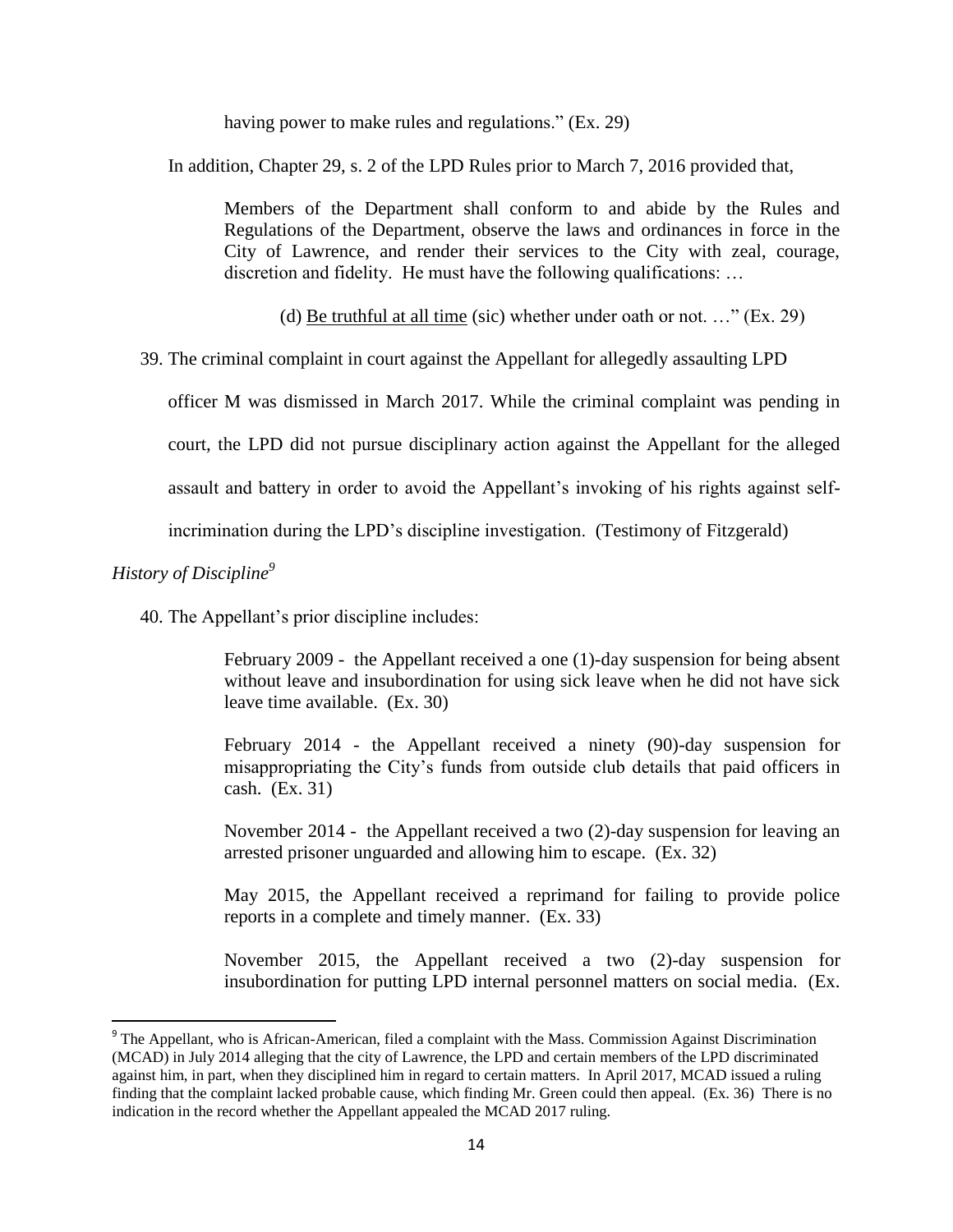having power to make rules and regulations." (Ex. 29)

In addition, Chapter 29, s. 2 of the LPD Rules prior to March 7, 2016 provided that,

Members of the Department shall conform to and abide by the Rules and Regulations of the Department, observe the laws and ordinances in force in the City of Lawrence, and render their services to the City with zeal, courage, discretion and fidelity. He must have the following qualifications: …

(d) Be truthful at all time (sic) whether under oath or not.  $\ldots$ " (Ex. 29)

39. The criminal complaint in court against the Appellant for allegedly assaulting LPD

officer M was dismissed in March 2017. While the criminal complaint was pending in

court, the LPD did not pursue disciplinary action against the Appellant for the alleged

assault and battery in order to avoid the Appellant's invoking of his rights against self-

incrimination during the LPD's discipline investigation. (Testimony of Fitzgerald)

# *History of Discipline<sup>9</sup>*

 $\overline{a}$ 

40. The Appellant's prior discipline includes:

February 2009 - the Appellant received a one (1)-day suspension for being absent without leave and insubordination for using sick leave when he did not have sick leave time available. (Ex. 30)

February 2014 - the Appellant received a ninety (90)-day suspension for misappropriating the City's funds from outside club details that paid officers in cash. (Ex. 31)

November 2014 - the Appellant received a two (2)-day suspension for leaving an arrested prisoner unguarded and allowing him to escape. (Ex. 32)

May 2015, the Appellant received a reprimand for failing to provide police reports in a complete and timely manner. (Ex. 33)

November 2015, the Appellant received a two (2)-day suspension for insubordination for putting LPD internal personnel matters on social media. (Ex.

<sup>&</sup>lt;sup>9</sup> The Appellant, who is African-American, filed a complaint with the Mass. Commission Against Discrimination (MCAD) in July 2014 alleging that the city of Lawrence, the LPD and certain members of the LPD discriminated against him, in part, when they disciplined him in regard to certain matters. In April 2017, MCAD issued a ruling finding that the complaint lacked probable cause, which finding Mr. Green could then appeal. (Ex. 36) There is no indication in the record whether the Appellant appealed the MCAD 2017 ruling.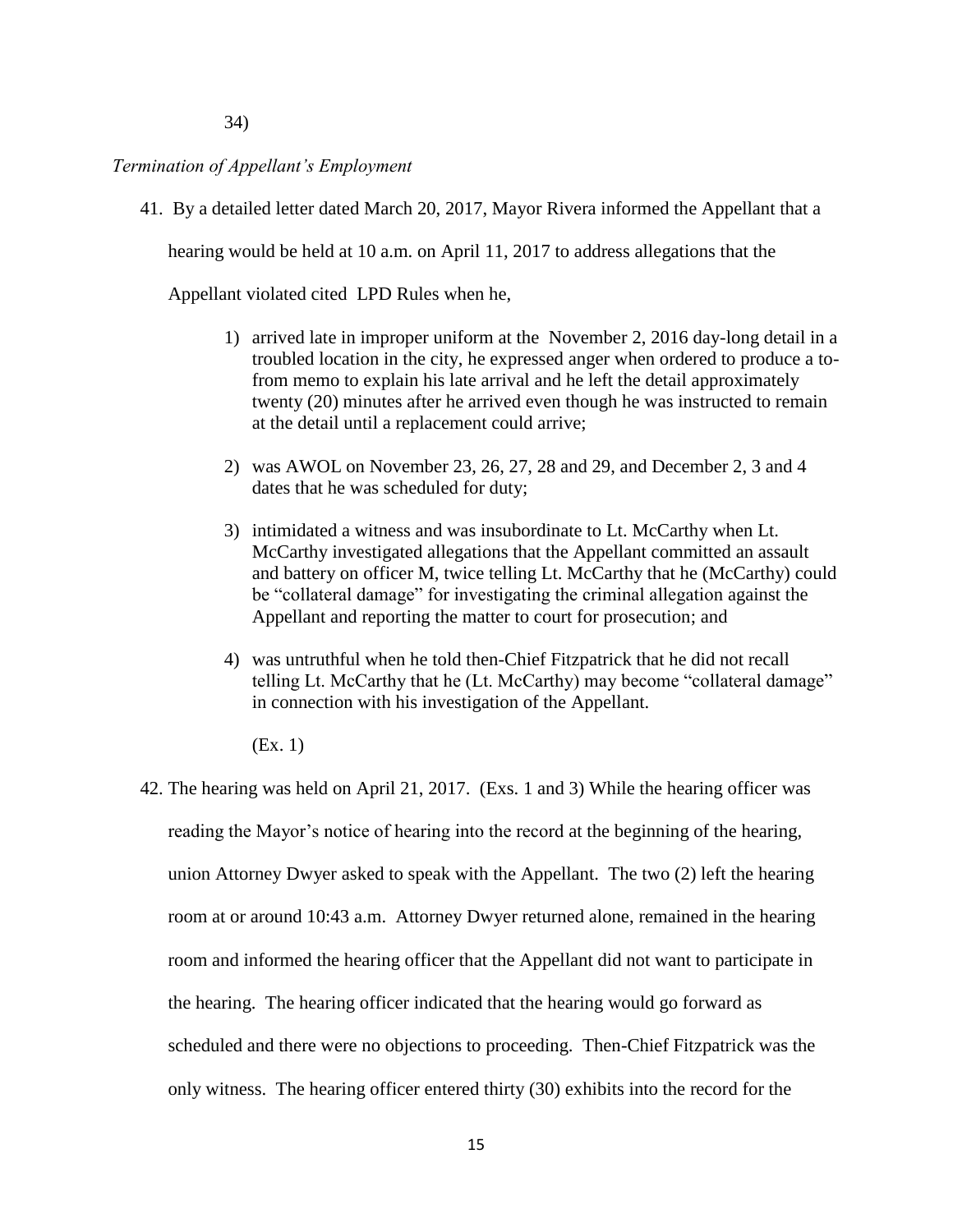# *Termination of Appellant's Employment*

41. By a detailed letter dated March 20, 2017, Mayor Rivera informed the Appellant that a

hearing would be held at 10 a.m. on April 11, 2017 to address allegations that the

Appellant violated cited LPD Rules when he,

- 1) arrived late in improper uniform at the November 2, 2016 day-long detail in a troubled location in the city, he expressed anger when ordered to produce a tofrom memo to explain his late arrival and he left the detail approximately twenty (20) minutes after he arrived even though he was instructed to remain at the detail until a replacement could arrive;
- 2) was AWOL on November 23, 26, 27, 28 and 29, and December 2, 3 and 4 dates that he was scheduled for duty;
- 3) intimidated a witness and was insubordinate to Lt. McCarthy when Lt. McCarthy investigated allegations that the Appellant committed an assault and battery on officer M, twice telling Lt. McCarthy that he (McCarthy) could be "collateral damage" for investigating the criminal allegation against the Appellant and reporting the matter to court for prosecution; and
- 4) was untruthful when he told then-Chief Fitzpatrick that he did not recall telling Lt. McCarthy that he (Lt. McCarthy) may become "collateral damage" in connection with his investigation of the Appellant.

(Ex. 1)

42. The hearing was held on April 21, 2017. (Exs. 1 and 3) While the hearing officer was reading the Mayor's notice of hearing into the record at the beginning of the hearing, union Attorney Dwyer asked to speak with the Appellant. The two (2) left the hearing room at or around 10:43 a.m. Attorney Dwyer returned alone, remained in the hearing room and informed the hearing officer that the Appellant did not want to participate in the hearing. The hearing officer indicated that the hearing would go forward as scheduled and there were no objections to proceeding. Then-Chief Fitzpatrick was the only witness. The hearing officer entered thirty (30) exhibits into the record for the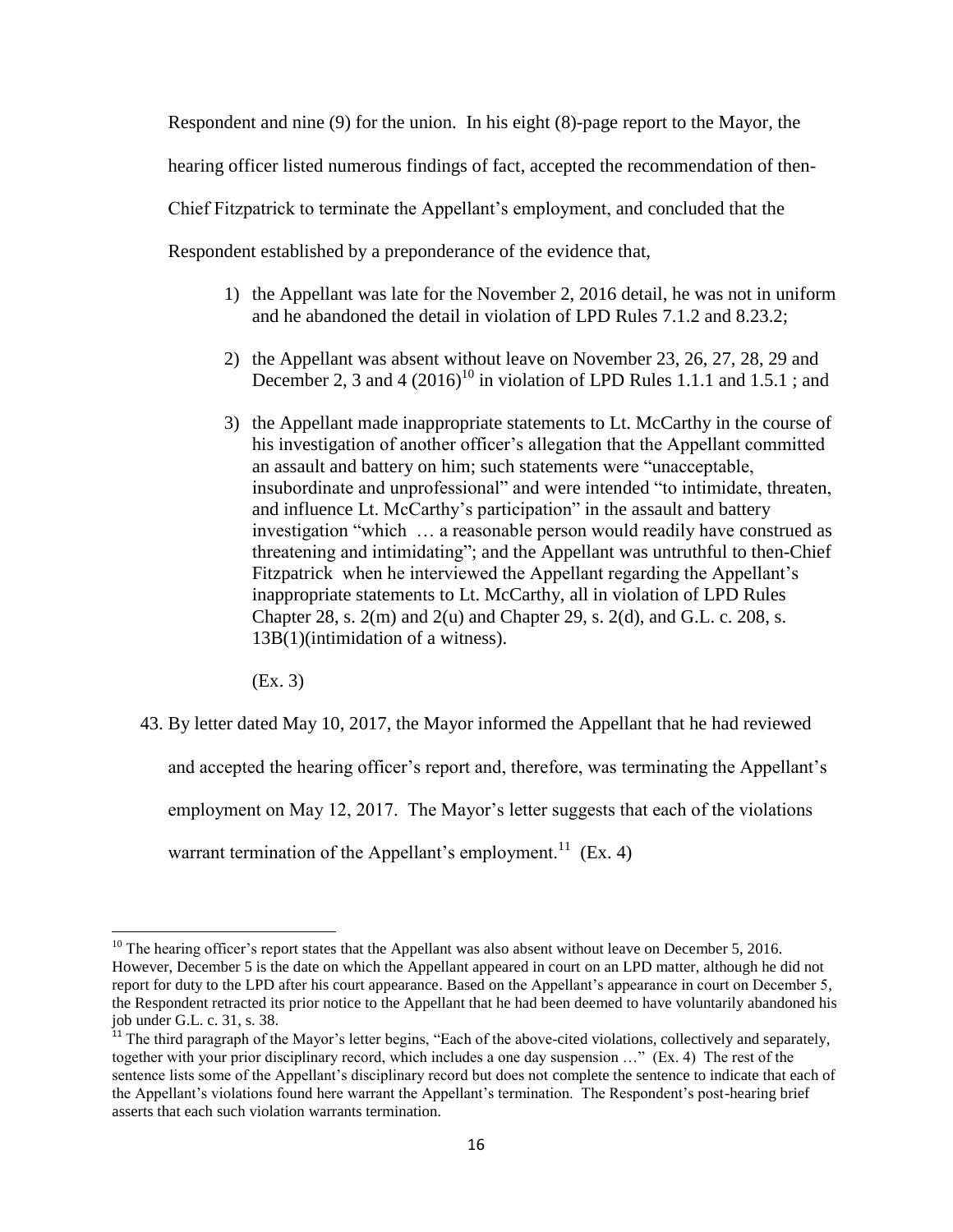Respondent and nine (9) for the union. In his eight (8)-page report to the Mayor, the hearing officer listed numerous findings of fact, accepted the recommendation of then-Chief Fitzpatrick to terminate the Appellant's employment, and concluded that the Respondent established by a preponderance of the evidence that,

- 1) the Appellant was late for the November 2, 2016 detail, he was not in uniform and he abandoned the detail in violation of LPD Rules 7.1.2 and 8.23.2;
- 2) the Appellant was absent without leave on November 23, 26, 27, 28, 29 and December 2, 3 and 4  $(2016)^{10}$  in violation of LPD Rules 1.1.1 and 1.5.1; and
- 3) the Appellant made inappropriate statements to Lt. McCarthy in the course of his investigation of another officer's allegation that the Appellant committed an assault and battery on him; such statements were "unacceptable, insubordinate and unprofessional" and were intended "to intimidate, threaten, and influence Lt. McCarthy's participation" in the assault and battery investigation "which … a reasonable person would readily have construed as threatening and intimidating"; and the Appellant was untruthful to then-Chief Fitzpatrick when he interviewed the Appellant regarding the Appellant's inappropriate statements to Lt. McCarthy, all in violation of LPD Rules Chapter 28, s. 2(m) and 2(u) and Chapter 29, s. 2(d), and G.L. c. 208, s. 13B(1)(intimidation of a witness).

(Ex. 3)

43. By letter dated May 10, 2017, the Mayor informed the Appellant that he had reviewed and accepted the hearing officer's report and, therefore, was terminating the Appellant's employment on May 12, 2017. The Mayor's letter suggests that each of the violations warrant termination of the Appellant's employment.<sup>11</sup> (Ex. 4)

 $\overline{\phantom{a}}$  $10$  The hearing officer's report states that the Appellant was also absent without leave on December 5, 2016. However, December 5 is the date on which the Appellant appeared in court on an LPD matter, although he did not report for duty to the LPD after his court appearance. Based on the Appellant's appearance in court on December 5, the Respondent retracted its prior notice to the Appellant that he had been deemed to have voluntarily abandoned his job under G.L. c. 31, s. 38.

<sup>&</sup>lt;sup>11</sup> The third paragraph of the Mayor's letter begins, "Each of the above-cited violations, collectively and separately, together with your prior disciplinary record, which includes a one day suspension …" (Ex. 4) The rest of the sentence lists some of the Appellant's disciplinary record but does not complete the sentence to indicate that each of the Appellant's violations found here warrant the Appellant's termination. The Respondent's post-hearing brief asserts that each such violation warrants termination.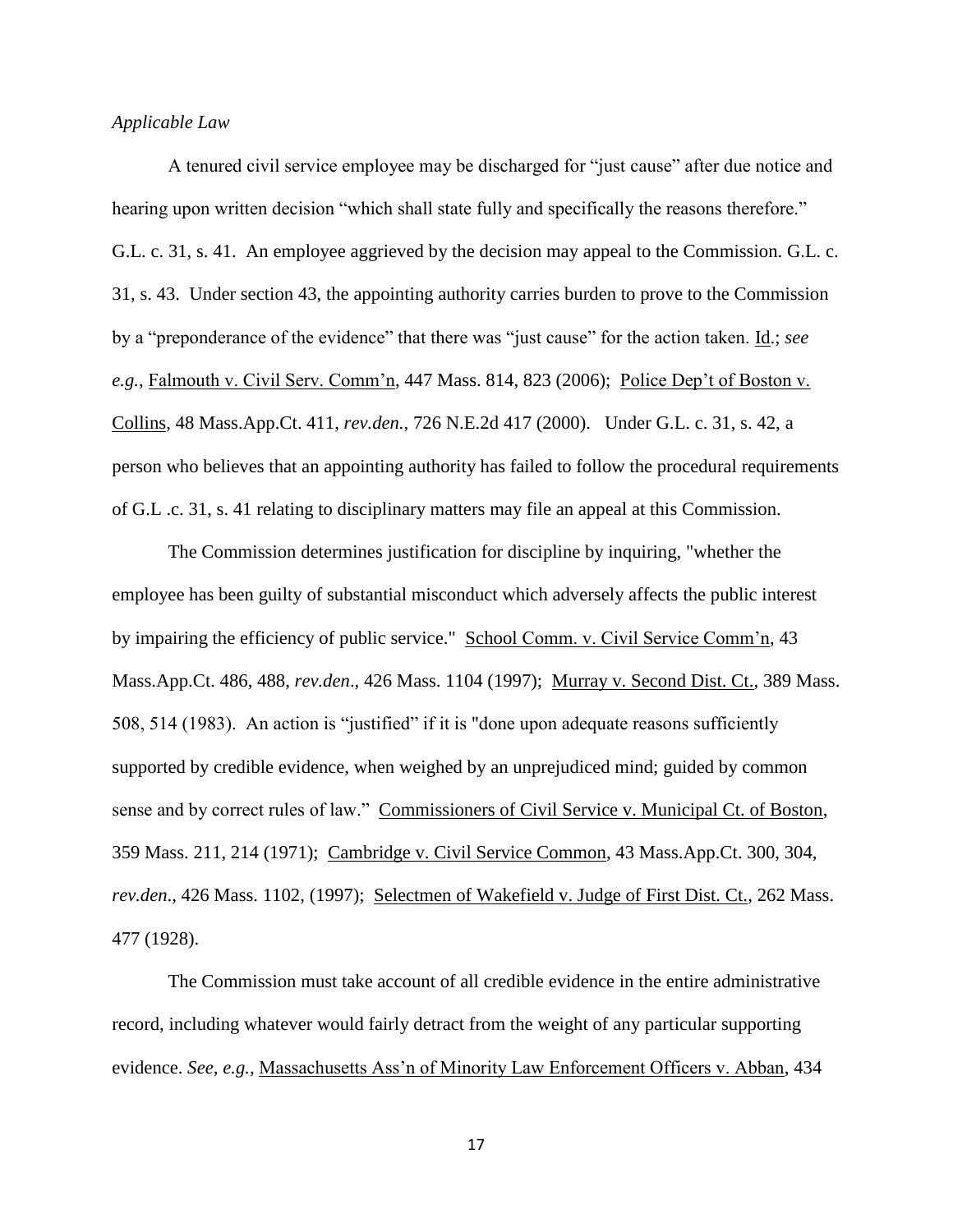# *Applicable Law*

A tenured civil service employee may be discharged for "just cause" after due notice and hearing upon written decision "which shall state fully and specifically the reasons therefore." G.L. c. 31, s. 41. An employee aggrieved by the decision may appeal to the Commission. G.L. c. 31, s. 43. Under section 43, the appointing authority carries burden to prove to the Commission by a "preponderance of the evidence" that there was "just cause" for the action taken. Id.; *see e.g.*, Falmouth v. Civil Serv. Comm'n, 447 Mass. 814, 823 (2006); Police Dep't of Boston v. Collins, 48 Mass.App.Ct. 411, *rev.den.*, 726 N.E.2d 417 (2000). Under G.L. c. 31, s. 42, a person who believes that an appointing authority has failed to follow the procedural requirements of G.L .c. 31, s. 41 relating to disciplinary matters may file an appeal at this Commission.

The Commission determines justification for discipline by inquiring, "whether the employee has been guilty of substantial misconduct which adversely affects the public interest by impairing the efficiency of public service." School Comm. v. Civil Service Comm'n, 43 Mass.App.Ct. 486, 488, *rev.den*., 426 Mass. 1104 (1997); Murray v. Second Dist. Ct., 389 Mass. 508, 514 (1983). An action is "justified" if it is "done upon adequate reasons sufficiently supported by credible evidence, when weighed by an unprejudiced mind; guided by common sense and by correct rules of law." Commissioners of Civil Service v. Municipal Ct. of Boston, 359 Mass. 211, 214 (1971); Cambridge v. Civil Service Common, 43 Mass.App.Ct. 300, 304, *rev.den*., 426 Mass. 1102, (1997); Selectmen of Wakefield v. Judge of First Dist. Ct., 262 Mass. 477 (1928).

The Commission must take account of all credible evidence in the entire administrative record, including whatever would fairly detract from the weight of any particular supporting evidence. *See, e.g.,* Massachusetts Ass'n of Minority Law Enforcement Officers v. Abban, 434

17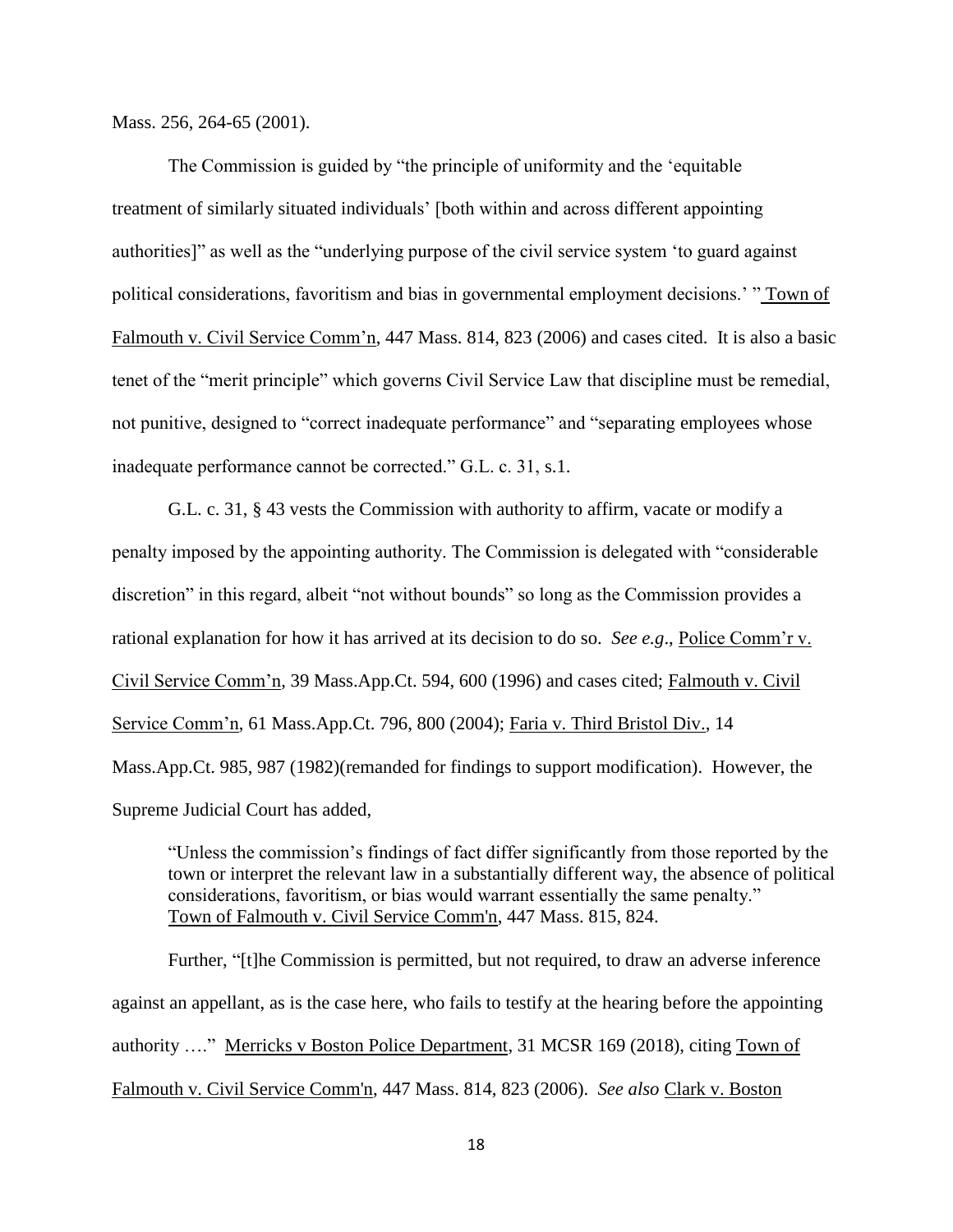Mass. 256, 264-65 (2001).

The Commission is guided by "the principle of uniformity and the 'equitable treatment of similarly situated individuals' [both within and across different appointing authorities]" as well as the "underlying purpose of the civil service system 'to guard against political considerations, favoritism and bias in governmental employment decisions.' " Town of Falmouth v. Civil Service Comm'n, 447 Mass. 814, 823 (2006) and cases cited. It is also a basic tenet of the "merit principle" which governs Civil Service Law that discipline must be remedial, not punitive, designed to "correct inadequate performance" and "separating employees whose inadequate performance cannot be corrected." G.L. c. 31, s.1.

G.L. c. 31, § 43 vests the Commission with authority to affirm, vacate or modify a penalty imposed by the appointing authority. The Commission is delegated with "considerable discretion" in this regard, albeit "not without bounds" so long as the Commission provides a rational explanation for how it has arrived at its decision to do so. *See e.g*., Police Comm'r v. Civil Service Comm'n, 39 Mass.App.Ct. 594, 600 (1996) and cases cited; Falmouth v. Civil Service Comm'n, 61 Mass.App.Ct. 796, 800 (2004); Faria v. Third Bristol Div., 14 Mass.App.Ct. 985, 987 (1982)(remanded for findings to support modification). However, the Supreme Judicial Court has added,

"Unless the commission's findings of fact differ significantly from those reported by the town or interpret the relevant law in a substantially different way, the absence of political considerations, favoritism, or bias would warrant essentially the same penalty." Town of Falmouth v. Civil Service Comm'n, 447 Mass. 815, 824.

Further, "[t]he Commission is permitted, but not required, to draw an adverse inference against an appellant, as is the case here, who fails to testify at the hearing before the appointing authority …." Merricks v Boston Police Department, 31 MCSR 169 (2018), citing Town of Falmouth v. Civil Service Comm'n, 447 Mass. 814, 823 (2006). *See also* Clark v. Boston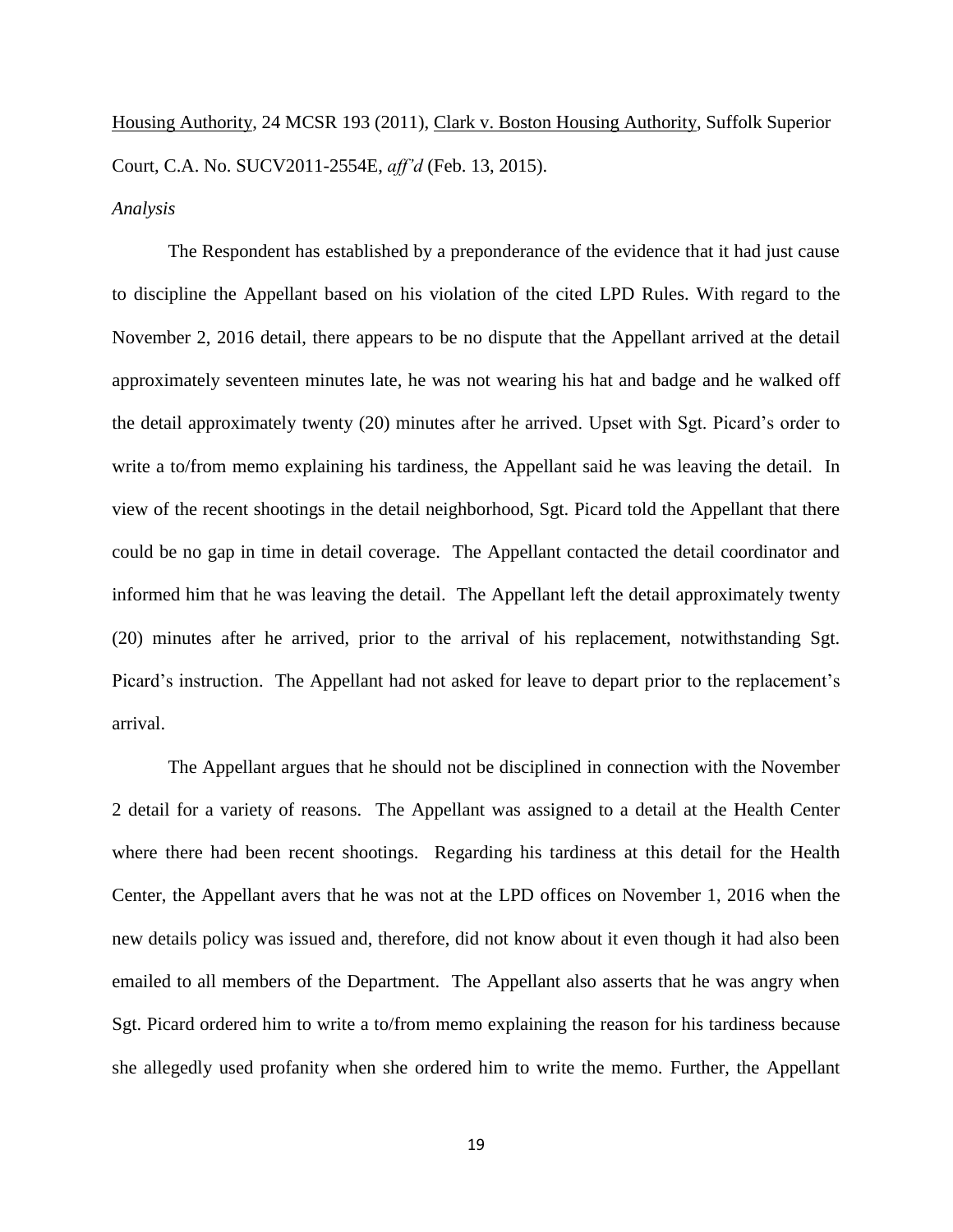Housing Authority, 24 MCSR 193 (2011), Clark v. Boston Housing Authority, Suffolk Superior Court, C.A. No. SUCV2011-2554E, *aff'd* (Feb. 13, 2015).

#### *Analysis*

The Respondent has established by a preponderance of the evidence that it had just cause to discipline the Appellant based on his violation of the cited LPD Rules. With regard to the November 2, 2016 detail, there appears to be no dispute that the Appellant arrived at the detail approximately seventeen minutes late, he was not wearing his hat and badge and he walked off the detail approximately twenty (20) minutes after he arrived. Upset with Sgt. Picard's order to write a to/from memo explaining his tardiness, the Appellant said he was leaving the detail. In view of the recent shootings in the detail neighborhood, Sgt. Picard told the Appellant that there could be no gap in time in detail coverage. The Appellant contacted the detail coordinator and informed him that he was leaving the detail. The Appellant left the detail approximately twenty (20) minutes after he arrived, prior to the arrival of his replacement, notwithstanding Sgt. Picard's instruction. The Appellant had not asked for leave to depart prior to the replacement's arrival.

The Appellant argues that he should not be disciplined in connection with the November 2 detail for a variety of reasons. The Appellant was assigned to a detail at the Health Center where there had been recent shootings. Regarding his tardiness at this detail for the Health Center, the Appellant avers that he was not at the LPD offices on November 1, 2016 when the new details policy was issued and, therefore, did not know about it even though it had also been emailed to all members of the Department. The Appellant also asserts that he was angry when Sgt. Picard ordered him to write a to/from memo explaining the reason for his tardiness because she allegedly used profanity when she ordered him to write the memo. Further, the Appellant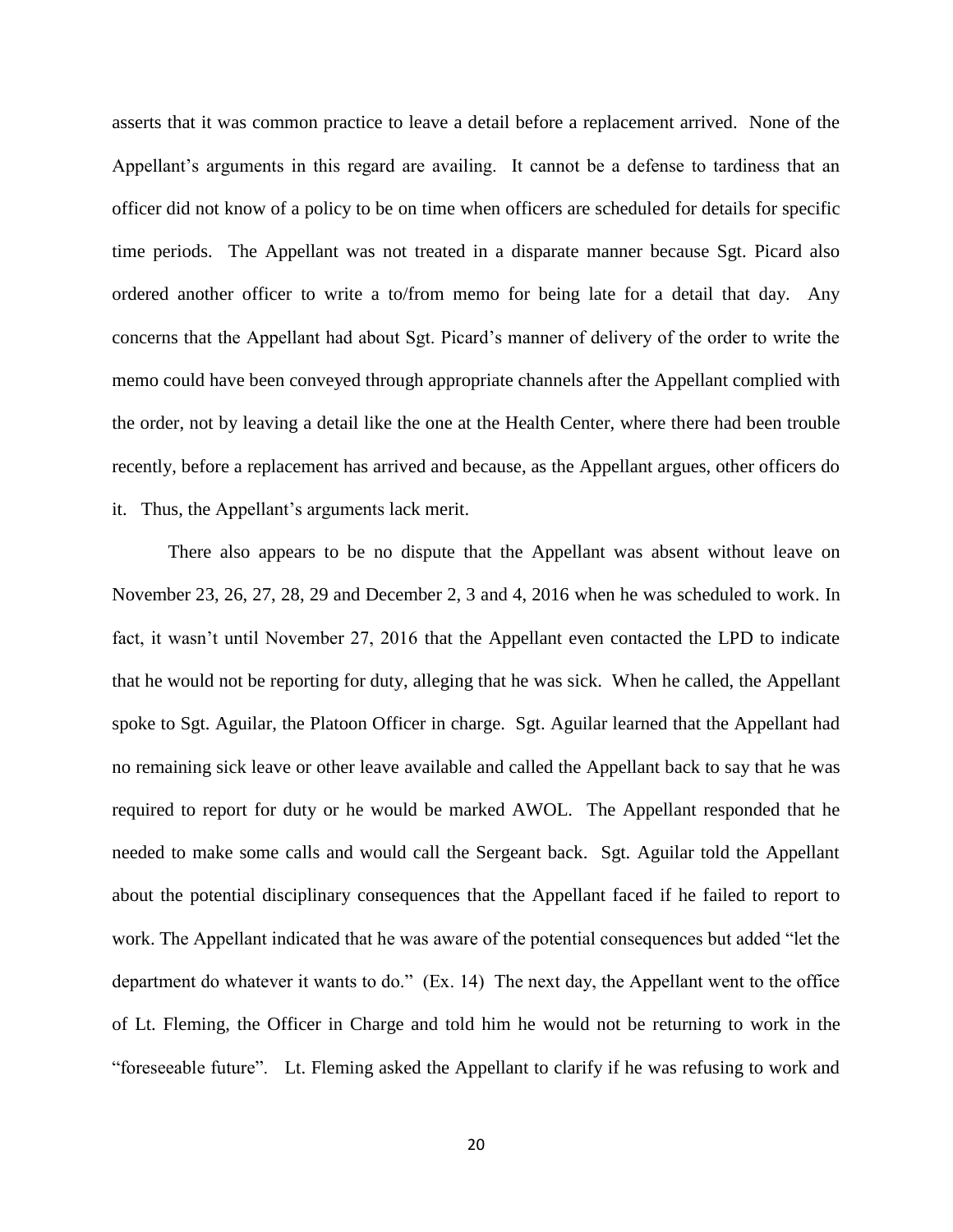asserts that it was common practice to leave a detail before a replacement arrived. None of the Appellant's arguments in this regard are availing. It cannot be a defense to tardiness that an officer did not know of a policy to be on time when officers are scheduled for details for specific time periods. The Appellant was not treated in a disparate manner because Sgt. Picard also ordered another officer to write a to/from memo for being late for a detail that day. Any concerns that the Appellant had about Sgt. Picard's manner of delivery of the order to write the memo could have been conveyed through appropriate channels after the Appellant complied with the order, not by leaving a detail like the one at the Health Center, where there had been trouble recently, before a replacement has arrived and because, as the Appellant argues, other officers do it. Thus, the Appellant's arguments lack merit.

There also appears to be no dispute that the Appellant was absent without leave on November 23, 26, 27, 28, 29 and December 2, 3 and 4, 2016 when he was scheduled to work. In fact, it wasn't until November 27, 2016 that the Appellant even contacted the LPD to indicate that he would not be reporting for duty, alleging that he was sick. When he called, the Appellant spoke to Sgt. Aguilar, the Platoon Officer in charge. Sgt. Aguilar learned that the Appellant had no remaining sick leave or other leave available and called the Appellant back to say that he was required to report for duty or he would be marked AWOL. The Appellant responded that he needed to make some calls and would call the Sergeant back. Sgt. Aguilar told the Appellant about the potential disciplinary consequences that the Appellant faced if he failed to report to work. The Appellant indicated that he was aware of the potential consequences but added "let the department do whatever it wants to do." (Ex. 14) The next day, the Appellant went to the office of Lt. Fleming, the Officer in Charge and told him he would not be returning to work in the "foreseeable future". Lt. Fleming asked the Appellant to clarify if he was refusing to work and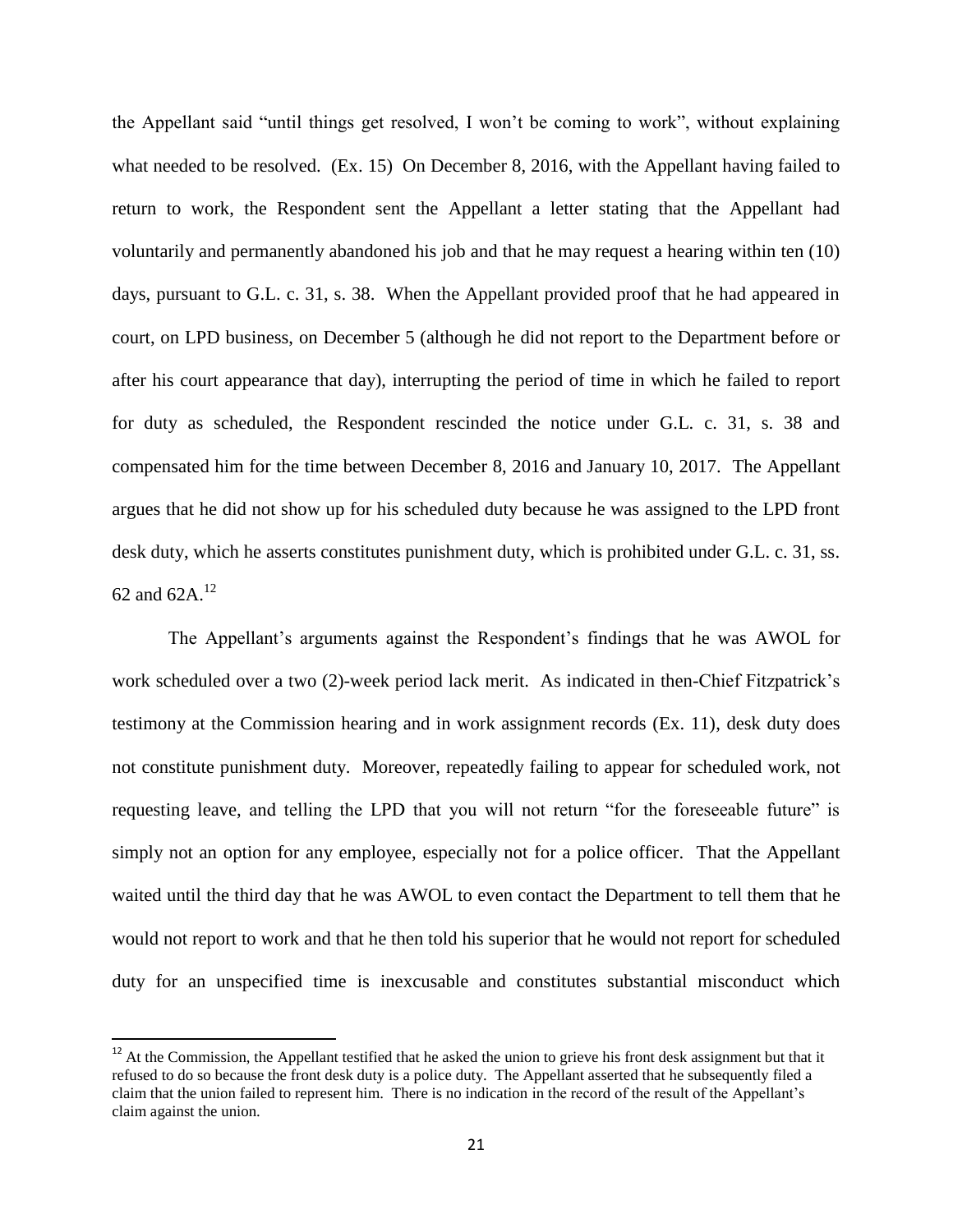the Appellant said "until things get resolved, I won't be coming to work", without explaining what needed to be resolved. (Ex. 15) On December 8, 2016, with the Appellant having failed to return to work, the Respondent sent the Appellant a letter stating that the Appellant had voluntarily and permanently abandoned his job and that he may request a hearing within ten (10) days, pursuant to G.L. c. 31, s. 38. When the Appellant provided proof that he had appeared in court, on LPD business, on December 5 (although he did not report to the Department before or after his court appearance that day), interrupting the period of time in which he failed to report for duty as scheduled, the Respondent rescinded the notice under G.L. c. 31, s. 38 and compensated him for the time between December 8, 2016 and January 10, 2017. The Appellant argues that he did not show up for his scheduled duty because he was assigned to the LPD front desk duty, which he asserts constitutes punishment duty, which is prohibited under G.L. c. 31, ss. 62 and  $62A.<sup>12</sup>$ 

The Appellant's arguments against the Respondent's findings that he was AWOL for work scheduled over a two (2)-week period lack merit. As indicated in then-Chief Fitzpatrick's testimony at the Commission hearing and in work assignment records (Ex. 11), desk duty does not constitute punishment duty. Moreover, repeatedly failing to appear for scheduled work, not requesting leave, and telling the LPD that you will not return "for the foreseeable future" is simply not an option for any employee, especially not for a police officer. That the Appellant waited until the third day that he was AWOL to even contact the Department to tell them that he would not report to work and that he then told his superior that he would not report for scheduled duty for an unspecified time is inexcusable and constitutes substantial misconduct which

 $\overline{\phantom{a}}$ 

 $12$  At the Commission, the Appellant testified that he asked the union to grieve his front desk assignment but that it refused to do so because the front desk duty is a police duty. The Appellant asserted that he subsequently filed a claim that the union failed to represent him. There is no indication in the record of the result of the Appellant's claim against the union.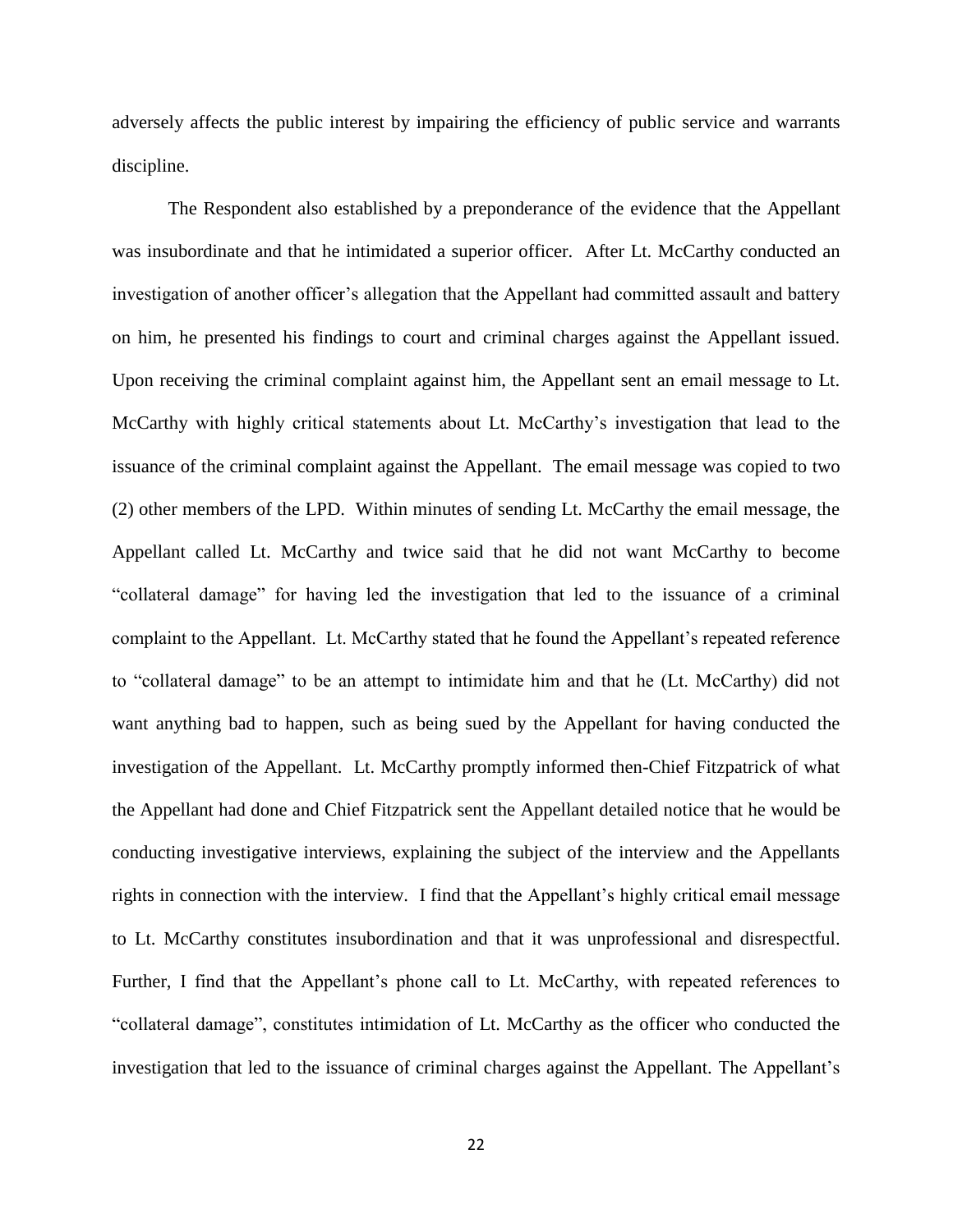adversely affects the public interest by impairing the efficiency of public service and warrants discipline.

The Respondent also established by a preponderance of the evidence that the Appellant was insubordinate and that he intimidated a superior officer. After Lt. McCarthy conducted an investigation of another officer's allegation that the Appellant had committed assault and battery on him, he presented his findings to court and criminal charges against the Appellant issued. Upon receiving the criminal complaint against him, the Appellant sent an email message to Lt. McCarthy with highly critical statements about Lt. McCarthy's investigation that lead to the issuance of the criminal complaint against the Appellant. The email message was copied to two (2) other members of the LPD. Within minutes of sending Lt. McCarthy the email message, the Appellant called Lt. McCarthy and twice said that he did not want McCarthy to become "collateral damage" for having led the investigation that led to the issuance of a criminal complaint to the Appellant. Lt. McCarthy stated that he found the Appellant's repeated reference to "collateral damage" to be an attempt to intimidate him and that he (Lt. McCarthy) did not want anything bad to happen, such as being sued by the Appellant for having conducted the investigation of the Appellant. Lt. McCarthy promptly informed then-Chief Fitzpatrick of what the Appellant had done and Chief Fitzpatrick sent the Appellant detailed notice that he would be conducting investigative interviews, explaining the subject of the interview and the Appellants rights in connection with the interview. I find that the Appellant's highly critical email message to Lt. McCarthy constitutes insubordination and that it was unprofessional and disrespectful. Further, I find that the Appellant's phone call to Lt. McCarthy, with repeated references to "collateral damage", constitutes intimidation of Lt. McCarthy as the officer who conducted the investigation that led to the issuance of criminal charges against the Appellant. The Appellant's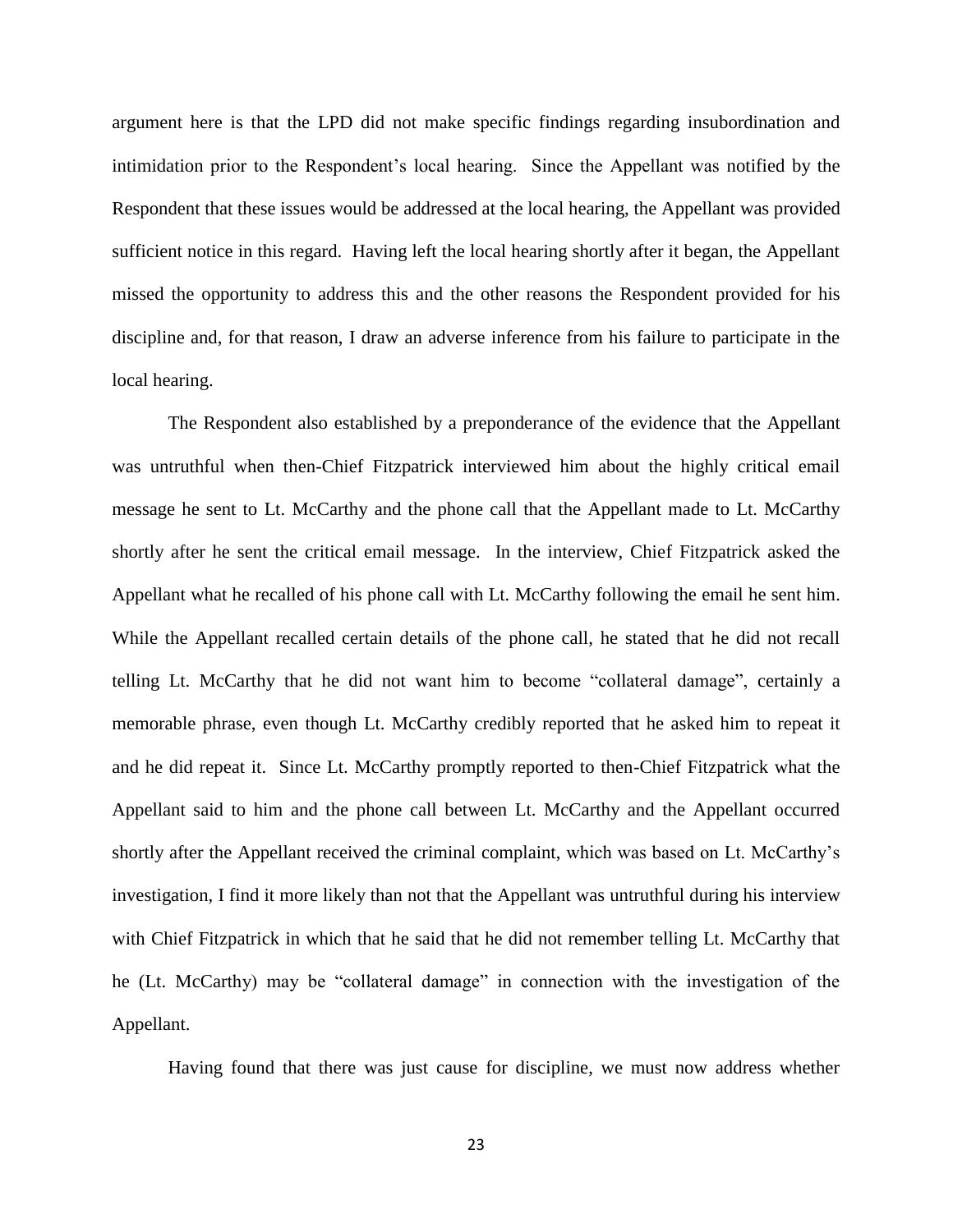argument here is that the LPD did not make specific findings regarding insubordination and intimidation prior to the Respondent's local hearing. Since the Appellant was notified by the Respondent that these issues would be addressed at the local hearing, the Appellant was provided sufficient notice in this regard. Having left the local hearing shortly after it began, the Appellant missed the opportunity to address this and the other reasons the Respondent provided for his discipline and, for that reason, I draw an adverse inference from his failure to participate in the local hearing.

The Respondent also established by a preponderance of the evidence that the Appellant was untruthful when then-Chief Fitzpatrick interviewed him about the highly critical email message he sent to Lt. McCarthy and the phone call that the Appellant made to Lt. McCarthy shortly after he sent the critical email message. In the interview, Chief Fitzpatrick asked the Appellant what he recalled of his phone call with Lt. McCarthy following the email he sent him. While the Appellant recalled certain details of the phone call, he stated that he did not recall telling Lt. McCarthy that he did not want him to become "collateral damage", certainly a memorable phrase, even though Lt. McCarthy credibly reported that he asked him to repeat it and he did repeat it. Since Lt. McCarthy promptly reported to then-Chief Fitzpatrick what the Appellant said to him and the phone call between Lt. McCarthy and the Appellant occurred shortly after the Appellant received the criminal complaint, which was based on Lt. McCarthy's investigation, I find it more likely than not that the Appellant was untruthful during his interview with Chief Fitzpatrick in which that he said that he did not remember telling Lt. McCarthy that he (Lt. McCarthy) may be "collateral damage" in connection with the investigation of the Appellant.

Having found that there was just cause for discipline, we must now address whether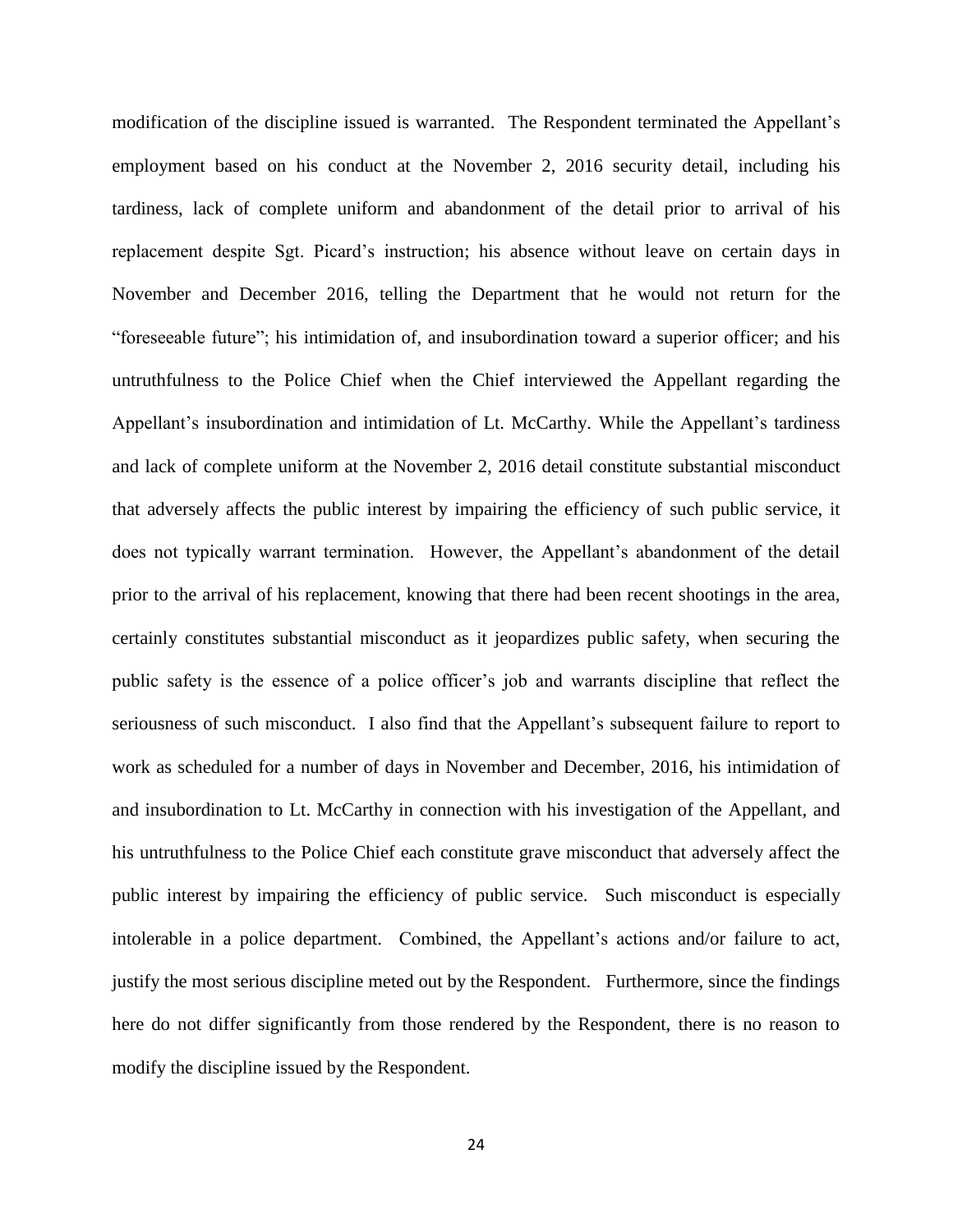modification of the discipline issued is warranted. The Respondent terminated the Appellant's employment based on his conduct at the November 2, 2016 security detail, including his tardiness, lack of complete uniform and abandonment of the detail prior to arrival of his replacement despite Sgt. Picard's instruction; his absence without leave on certain days in November and December 2016, telling the Department that he would not return for the "foreseeable future"; his intimidation of, and insubordination toward a superior officer; and his untruthfulness to the Police Chief when the Chief interviewed the Appellant regarding the Appellant's insubordination and intimidation of Lt. McCarthy. While the Appellant's tardiness and lack of complete uniform at the November 2, 2016 detail constitute substantial misconduct that adversely affects the public interest by impairing the efficiency of such public service, it does not typically warrant termination. However, the Appellant's abandonment of the detail prior to the arrival of his replacement, knowing that there had been recent shootings in the area, certainly constitutes substantial misconduct as it jeopardizes public safety, when securing the public safety is the essence of a police officer's job and warrants discipline that reflect the seriousness of such misconduct. I also find that the Appellant's subsequent failure to report to work as scheduled for a number of days in November and December, 2016, his intimidation of and insubordination to Lt. McCarthy in connection with his investigation of the Appellant, and his untruthfulness to the Police Chief each constitute grave misconduct that adversely affect the public interest by impairing the efficiency of public service. Such misconduct is especially intolerable in a police department. Combined, the Appellant's actions and/or failure to act, justify the most serious discipline meted out by the Respondent. Furthermore, since the findings here do not differ significantly from those rendered by the Respondent, there is no reason to modify the discipline issued by the Respondent.